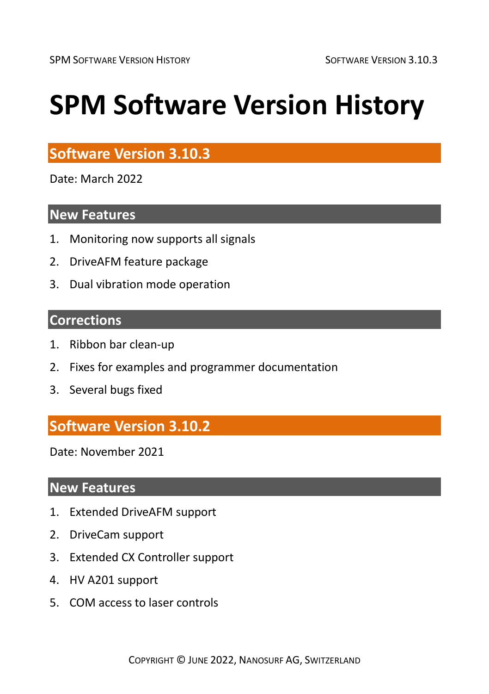# **SPM Software Version History**

# **Software Version 3.10.3**

Date: March 2022

#### **New Features**

- 1. Monitoring now supports all signals
- 2. DriveAFM feature package
- 3. Dual vibration mode operation

#### **Corrections**

- 1. Ribbon bar clean-up
- 2. Fixes for examples and programmer documentation
- 3. Several bugs fixed

# **Software Version 3.10.2**

Date: November 2021

#### **New Features**

- 1. Extended DriveAFM support
- 2. DriveCam support
- 3. Extended CX Controller support
- 4. HV A201 support
- 5. COM access to laser controls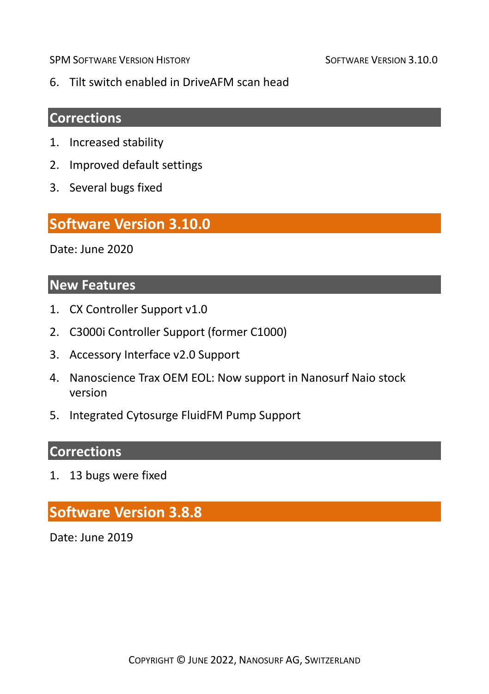6. Tilt switch enabled in DriveAFM scan head

#### **Corrections**

- 1. Increased stability
- 2. Improved default settings
- 3. Several bugs fixed

#### **Software Version 3.10.0**

Date: June 2020

#### **New Features**

- 1. CX Controller Support v1.0
- 2. C3000i Controller Support (former C1000)
- 3. Accessory Interface v2.0 Support
- 4. Nanoscience Trax OEM EOL: Now support in Nanosurf Naio stock version
- 5. Integrated Cytosurge FluidFM Pump Support

# **Corrections**

1. 13 bugs were fixed

# **Software Version 3.8.8**

Date: June 2019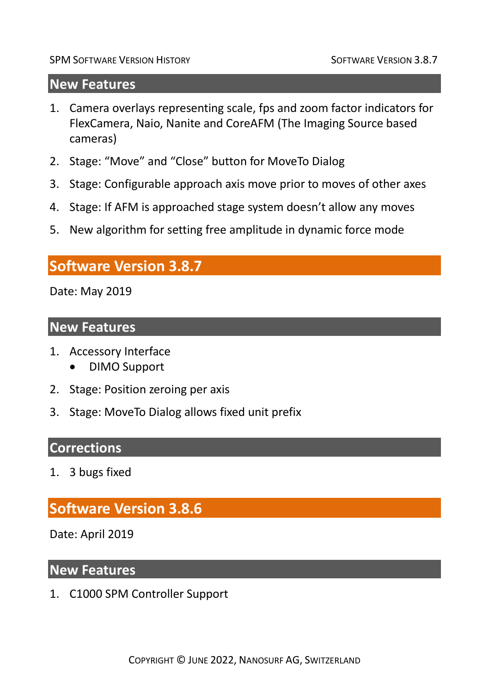#### **New Features**

- 1. Camera overlays representing scale, fps and zoom factor indicators for FlexCamera, Naio, Nanite and CoreAFM (The Imaging Source based cameras)
- 2. Stage: "Move" and "Close" button for MoveTo Dialog
- 3. Stage: Configurable approach axis move prior to moves of other axes
- 4. Stage: If AFM is approached stage system doesn't allow any moves
- 5. New algorithm for setting free amplitude in dynamic force mode

# **Software Version 3.8.7**

Date: May 2019

#### **New Features**

- 1. Accessory Interface
	- DIMO Support
- 2. Stage: Position zeroing per axis
- 3. Stage: MoveTo Dialog allows fixed unit prefix

#### **Corrections**

1. 3 bugs fixed

# **Software Version 3.8.6**

Date: April 2019

#### **New Features**

1. C1000 SPM Controller Support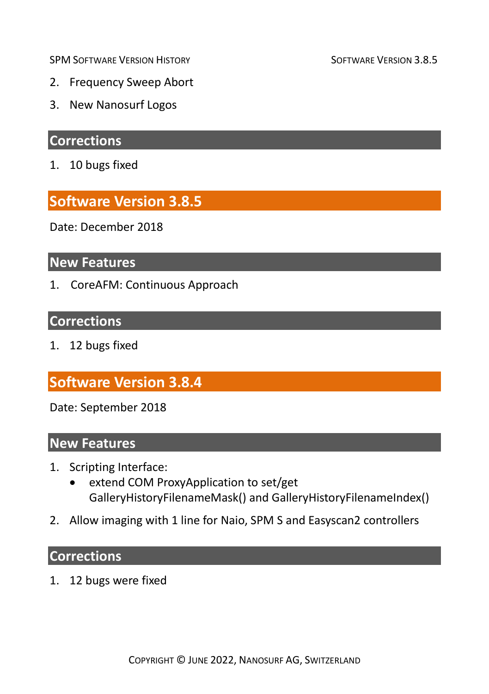- 2. Frequency Sweep Abort
- 3. New Nanosurf Logos

# **Corrections**

1. 10 bugs fixed

# **Software Version 3.8.5**

Date: December 2018

# **New Features**

1. CoreAFM: Continuous Approach

#### **Corrections**

1. 12 bugs fixed

# **Software Version 3.8.4**

Date: September 2018

#### **New Features**

- 1. Scripting Interface:
	- extend COM ProxyApplication to set/get GalleryHistoryFilenameMask() and GalleryHistoryFilenameIndex()
- 2. Allow imaging with 1 line for Naio, SPM S and Easyscan2 controllers

#### **Corrections**

1. 12 bugs were fixed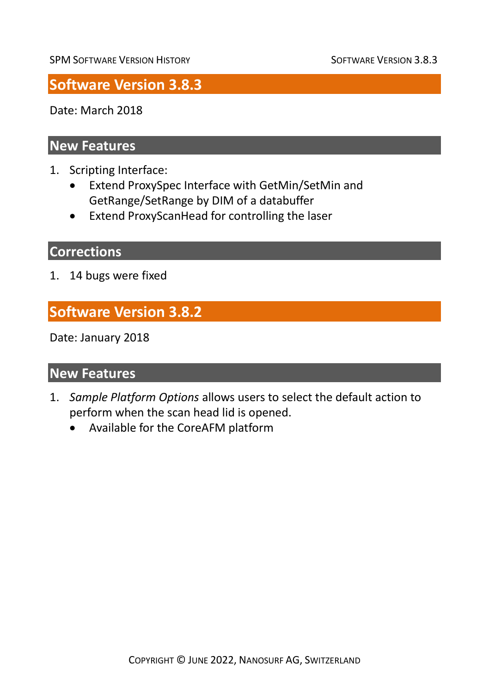# **Software Version 3.8.3**

Date: March 2018

### **New Features**

- 1. Scripting Interface:
	- Extend ProxySpec Interface with GetMin/SetMin and GetRange/SetRange by DIM of a databuffer
	- Extend ProxyScanHead for controlling the laser

# **Corrections**

1. 14 bugs were fixed

# **Software Version 3.8.2**

Date: January 2018

#### **New Features**

- 1. *Sample Platform Options* allows users to select the default action to perform when the scan head lid is opened.
	- Available for the CoreAFM platform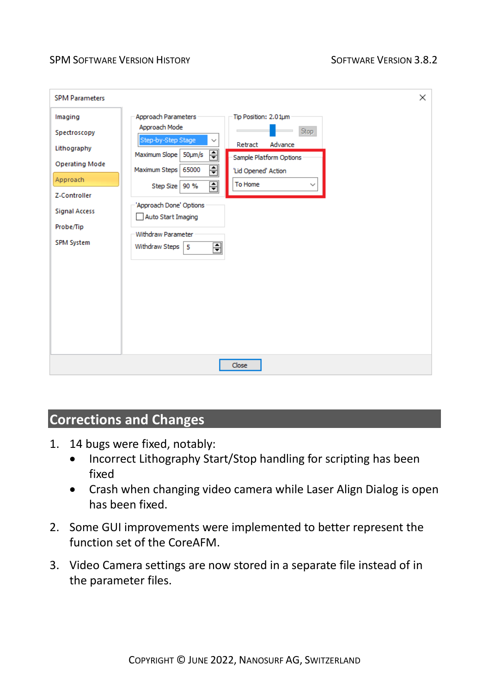| <b>SPM Parameters</b>                                                       |                                                                                                                                                                                                                                                                                                   | X |
|-----------------------------------------------------------------------------|---------------------------------------------------------------------------------------------------------------------------------------------------------------------------------------------------------------------------------------------------------------------------------------------------|---|
| Imaging<br>Spectroscopy<br>Lithography<br><b>Operating Mode</b><br>Approach | Approach Parameters<br>Tip Position: 2.01um<br>Approach Mode<br>Stop<br>Step-by-Step Stage<br>$\checkmark$<br>Advance<br>Retract<br>듼<br>Maximum Slope   50µm/s<br>Sample Platform Options<br>티<br>Maximum Steps 65000<br>'Lid Opened' Action<br>퓌<br>To Home<br>Step Size   90 %<br>$\checkmark$ |   |
| Z-Controller<br><b>Signal Access</b><br>Probe/Tip<br><b>SPM System</b>      | 'Approach Done' Options<br>Auto Start Imaging<br><b>Withdraw Parameter</b><br>∃<br>Withdraw Steps   5                                                                                                                                                                                             |   |
|                                                                             | Close                                                                                                                                                                                                                                                                                             |   |

# **Corrections and Changes**

- 1. 14 bugs were fixed, notably:
	- Incorrect Lithography Start/Stop handling for scripting has been fixed
	- Crash when changing video camera while Laser Align Dialog is open has been fixed.
- 2. Some GUI improvements were implemented to better represent the function set of the CoreAFM.
- 3. Video Camera settings are now stored in a separate file instead of in the parameter files.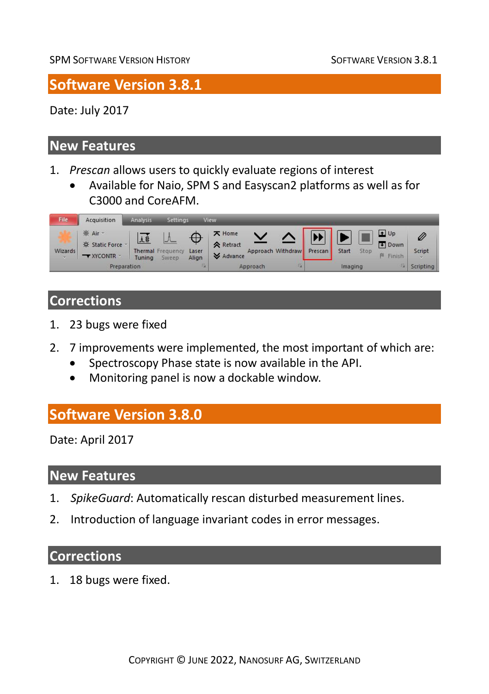# **Software Version 3.8.1**

Date: July 2017

#### **New Features**

- 1. *Prescan* allows users to quickly evaluate regions of interest
	- Available for Naio, SPM S and Easyscan2 platforms as well as for C3000 and CoreAFM.



# **Corrections**

- 1. 23 bugs were fixed
- 2. 7 improvements were implemented, the most important of which are:
	- Spectroscopy Phase state is now available in the API.
	- Monitoring panel is now a dockable window.

# **Software Version 3.8.0**

Date: April 2017

#### **New Features**

- 1. *SpikeGuard*: Automatically rescan disturbed measurement lines.
- 2. Introduction of language invariant codes in error messages.

#### **Corrections**

1. 18 bugs were fixed.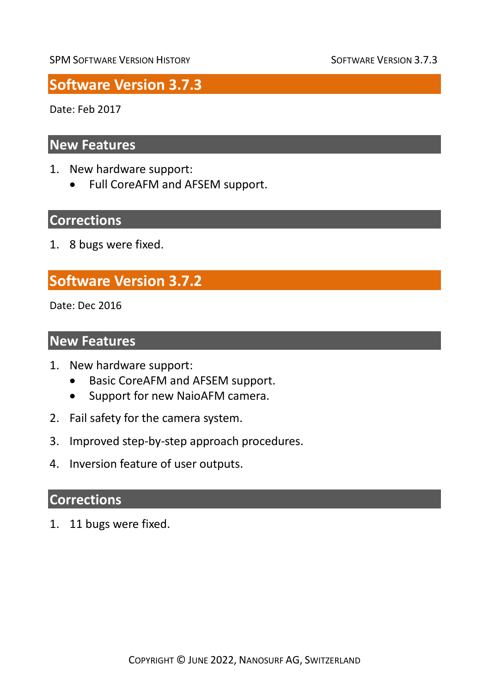# **Software Version 3.7.3**

Date: Feb 2017

#### **New Features**

- 1. New hardware support:
	- Full CoreAFM and AFSEM support.

# **Corrections**

1. 8 bugs were fixed.

# **Software Version 3.7.2**

Date: Dec 2016

#### **New Features**

- 1. New hardware support:
	- Basic CoreAFM and AFSEM support.
	- Support for new NaioAFM camera.
- 2. Fail safety for the camera system.
- 3. Improved step-by-step approach procedures.
- 4. Inversion feature of user outputs.

#### **Corrections**

1. 11 bugs were fixed.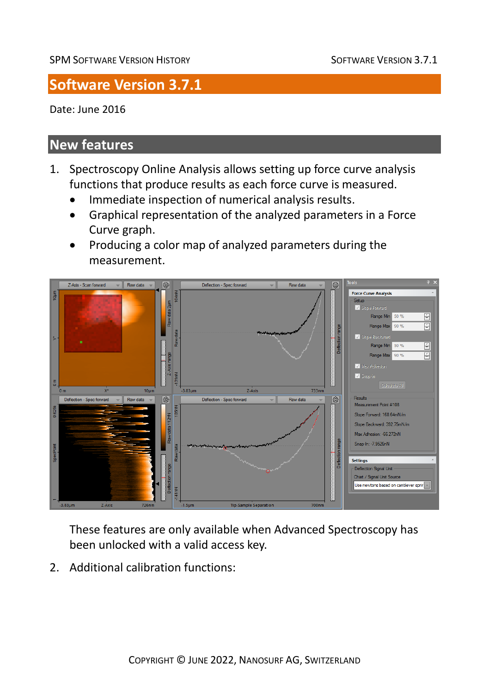# **Software Version 3.7.1**

Date: June 2016

# **New features**

- 1. Spectroscopy Online Analysis allows setting up force curve analysis functions that produce results as each force curve is measured.
	- Immediate inspection of numerical analysis results.
	- Graphical representation of the analyzed parameters in a Force Curve graph.
	- Producing a color map of analyzed parameters during the measurement.



These features are only available when Advanced Spectroscopy has been unlocked with a valid access key.

2. Additional calibration functions: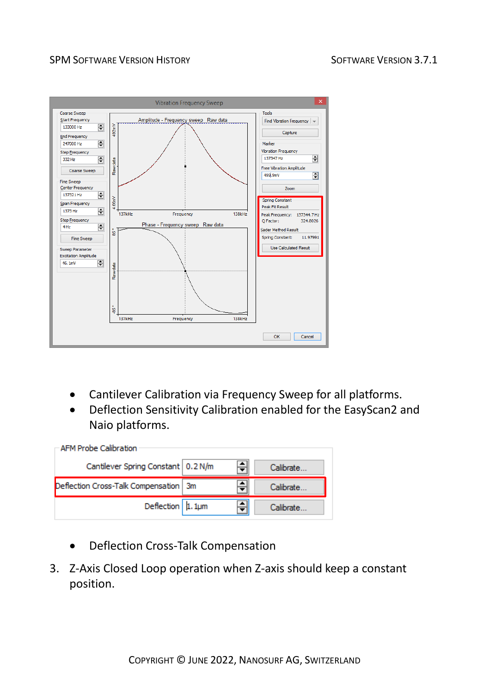

- Cantilever Calibration via Frequency Sweep for all platforms.
- Deflection Sensitivity Calibration enabled for the EasyScan2 and Naio platforms.

| <b>AFM Probe Calibration</b>            |  |            |
|-----------------------------------------|--|------------|
| Cantilever Spring Constant   0.2 N/m    |  | Calibrate. |
| Deflection Cross-Talk Compensation   3m |  | Calibrate. |
| Deflection $ 1.1 \mu m$                 |  | Calibrate  |

- Deflection Cross-Talk Compensation
- 3. Z-Axis Closed Loop operation when Z-axis should keep a constant position.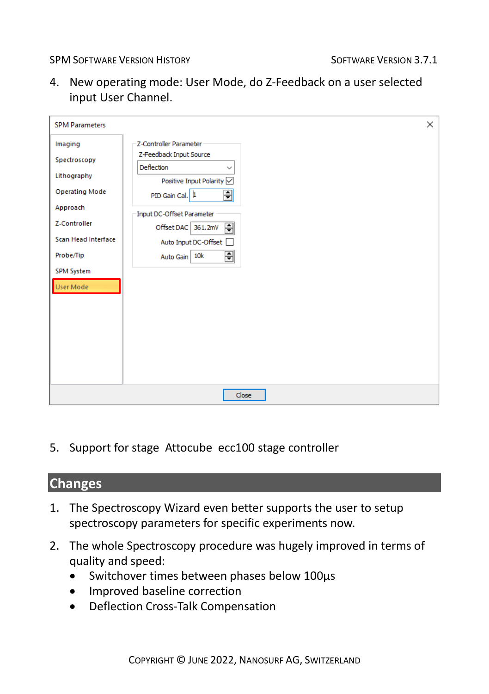4. New operating mode: User Mode, do Z-Feedback on a user selected input User Channel.

| <b>SPM Parameters</b>      |                                                           | $\times$ |
|----------------------------|-----------------------------------------------------------|----------|
| Imaging                    | Z-Controller Parameter                                    |          |
| Spectroscopy               | Z-Feedback Input Source<br>Deflection<br>$\checkmark$     |          |
| Lithography                | Positive Input Polarity O                                 |          |
| <b>Operating Mode</b>      | ⊟<br>PID Gain Cal. 1                                      |          |
| Approach                   | Input DC-Offset Parameter                                 |          |
| Z-Controller               | $\vert \overline{\mathbf{z}} \vert$<br>Offset DAC 361.2mV |          |
| <b>Scan Head Interface</b> | Auto Input DC-Offset                                      |          |
| Probe/Tip                  | ⊟<br>Auto Gain 10k                                        |          |
| <b>SPM System</b>          |                                                           |          |
| User Mode                  |                                                           |          |
|                            |                                                           |          |
|                            |                                                           |          |
|                            |                                                           |          |
|                            |                                                           |          |
|                            |                                                           |          |
|                            | Close                                                     |          |

5. Support for stage Attocube ecc100 stage controller

#### **Changes**

- 1. The Spectroscopy Wizard even better supports the user to setup spectroscopy parameters for specific experiments now.
- 2. The whole Spectroscopy procedure was hugely improved in terms of quality and speed:
	- Switchover times between phases below 100µs
	- Improved baseline correction
	- Deflection Cross-Talk Compensation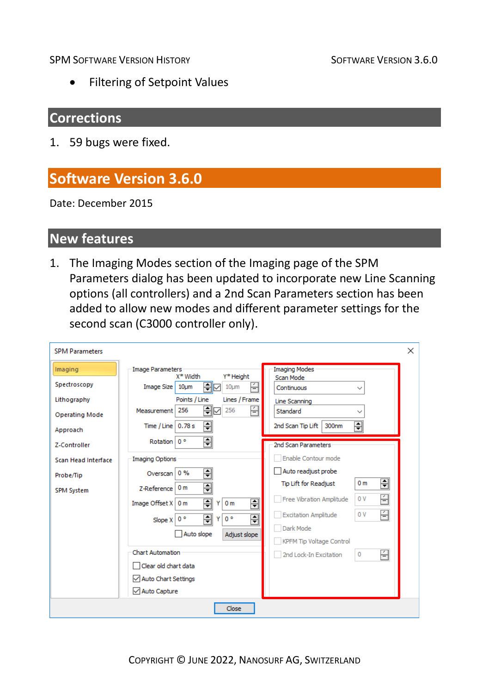• Filtering of Setpoint Values

#### **Corrections**

1. 59 bugs were fixed.

# **Software Version 3.6.0**

Date: December 2015

#### **New features**

1. The Imaging Modes section of the Imaging page of the SPM Parameters dialog has been updated to incorporate new Line Scanning options (all controllers) and a 2nd Scan Parameters section has been added to allow new modes and different parameter settings for the second scan (C3000 controller only).

| <b>SPM Parameters</b> |                                                                        |                                                                    | × |
|-----------------------|------------------------------------------------------------------------|--------------------------------------------------------------------|---|
| Imaging               | <b>Image Parameters</b><br>Y* Height<br>X* Width                       | <b>Imaging Modes</b><br>Scan Mode                                  |   |
| Spectroscopy          | ≑⊡<br>£<br>Image Size   10um<br>10 <sub>µ</sub>                        | Continuous<br>$\checkmark$                                         |   |
| Lithography           | Points / Line<br>Lines / Frame                                         | Line Scanning                                                      |   |
| <b>Operating Mode</b> | ≑⊡<br>÷<br>256<br>256<br>Measurement                                   | Standard<br>$\checkmark$                                           |   |
| Approach              | 츾<br>Time / Line $ 0.78 s$                                             | $\div$<br>2nd Scan Tip Lift<br>300nm                               |   |
| 7-Controller          | €<br>Rotation 0°                                                       | 2nd Scan Parameters                                                |   |
| Scan Head Interface   | <b>Imaging Options</b>                                                 | Enable Contour mode                                                |   |
| Probe/Tip             | 듹<br>0%<br>Overscan                                                    | Auto readjust probe                                                |   |
| <b>SPM System</b>     | ⋥<br>0 <sub>m</sub><br>7-Reference                                     | $\overline{\Xi}$<br>0 <sub>m</sub><br><b>Tip Lift for Readjust</b> |   |
|                       | 픢<br>$\Rightarrow$<br>Image Offset $X \mid 0$ m<br>Υ<br>0 <sub>m</sub> | É<br>0 V<br>Free Vibration Amplitude                               |   |
|                       | ₽<br>⋥<br>$0^{\circ}$<br>$0^{\circ}$<br>Υ<br>Slope X                   | 즼<br>0V<br><b>Excitation Amplitude</b>                             |   |
|                       | Auto slope<br>Adjust slope                                             | Dark Mode                                                          |   |
|                       |                                                                        | <b>KPFM Tip Voltage Control</b>                                    |   |
|                       | Chart Automation                                                       | 즼<br>2nd Lock-In Excitation<br>0                                   |   |
|                       | $\Box$ Clear old chart data                                            |                                                                    |   |
|                       | √ Auto Chart Settings                                                  |                                                                    |   |
|                       | √ Auto Capture                                                         |                                                                    |   |
|                       | Close                                                                  |                                                                    |   |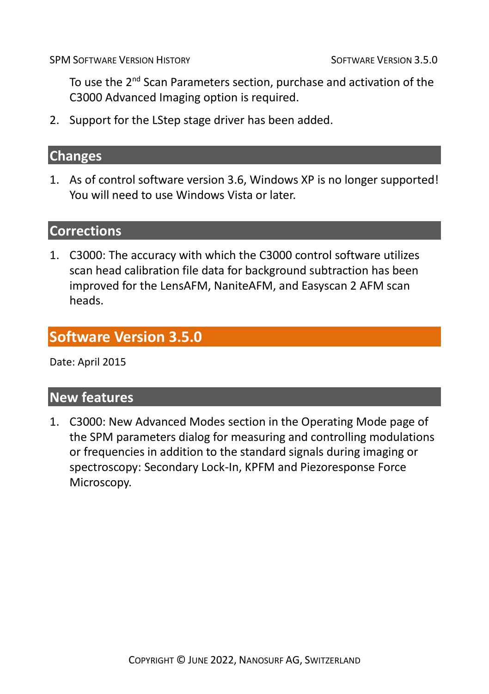To use the 2<sup>nd</sup> Scan Parameters section, purchase and activation of the C3000 Advanced Imaging option is required.

2. Support for the LStep stage driver has been added.

#### **Changes**

1. As of control software version 3.6, Windows XP is no longer supported! You will need to use Windows Vista or later.

### **Corrections**

1. C3000: The accuracy with which the C3000 control software utilizes scan head calibration file data for background subtraction has been improved for the LensAFM, NaniteAFM, and Easyscan 2 AFM scan heads.

# **Software Version 3.5.0**

Date: April 2015

#### **New features**

1. C3000: New Advanced Modes section in the Operating Mode page of the SPM parameters dialog for measuring and controlling modulations or frequencies in addition to the standard signals during imaging or spectroscopy: Secondary Lock-In, KPFM and Piezoresponse Force Microscopy.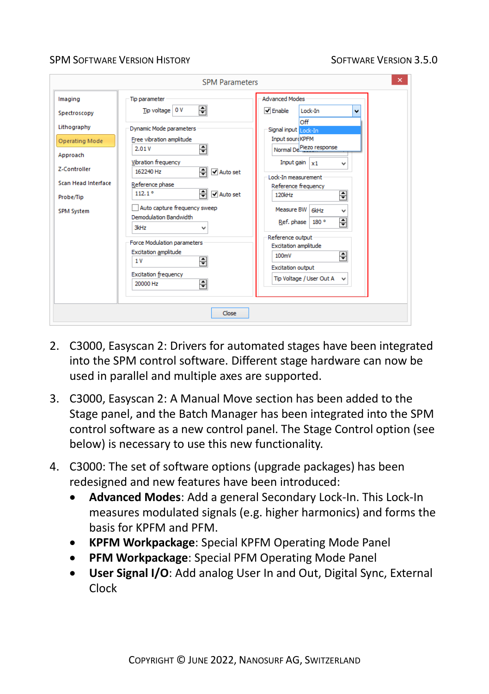- 2. C3000, Easyscan 2: Drivers for automated stages have been integrated into the SPM control software. Different stage hardware can now be used in parallel and multiple axes are supported.
- 3. C3000, Easyscan 2: A Manual Move section has been added to the Stage panel, and the Batch Manager has been integrated into the SPM control software as a new control panel. The Stage Control option (see below) is necessary to use this new functionality.
- 4. C3000: The set of software options (upgrade packages) has been redesigned and new features have been introduced:
	- **Advanced Modes**: Add a general Secondary Lock-In. This Lock-In measures modulated signals (e.g. higher harmonics) and forms the basis for KPFM and PFM.
	- **KPFM Workpackage**: Special KPFM Operating Mode Panel
	- **PFM Workpackage**: Special PFM Operating Mode Panel
	- **User Signal I/O**: Add analog User In and Out, Digital Sync, External Clock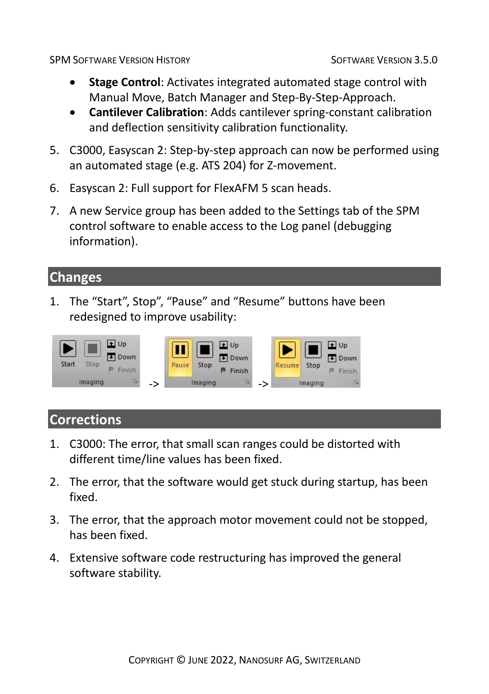- **Stage Control**: Activates integrated automated stage control with Manual Move, Batch Manager and Step-By-Step-Approach.
- **Cantilever Calibration**: Adds cantilever spring-constant calibration and deflection sensitivity calibration functionality.
- 5. C3000, Easyscan 2: Step-by-step approach can now be performed using an automated stage (e.g. ATS 204) for Z-movement.
- 6. Easyscan 2: Full support for FlexAFM 5 scan heads.
- 7. A new Service group has been added to the Settings tab of the SPM control software to enable access to the Log panel (debugging information).

#### **Changes**

1. The "Start", Stop", "Pause" and "Resume" buttons have been redesigned to improve usability:



- 1. C3000: The error, that small scan ranges could be distorted with different time/line values has been fixed.
- 2. The error, that the software would get stuck during startup, has been fixed.
- 3. The error, that the approach motor movement could not be stopped, has been fixed.
- 4. Extensive software code restructuring has improved the general software stability.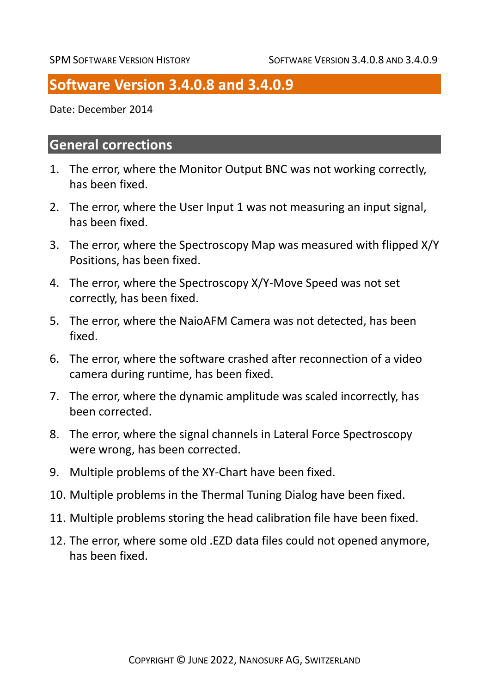# **Software Version 3.4.0.8 and 3.4.0.9**

Date: December 2014

#### **General corrections**

- 1. The error, where the Monitor Output BNC was not working correctly, has been fixed.
- 2. The error, where the User Input 1 was not measuring an input signal, has been fixed.
- 3. The error, where the Spectroscopy Map was measured with flipped X/Y Positions, has been fixed.
- 4. The error, where the Spectroscopy X/Y-Move Speed was not set correctly, has been fixed.
- 5. The error, where the NaioAFM Camera was not detected, has been fixed.
- 6. The error, where the software crashed after reconnection of a video camera during runtime, has been fixed.
- 7. The error, where the dynamic amplitude was scaled incorrectly, has been corrected.
- 8. The error, where the signal channels in Lateral Force Spectroscopy were wrong, has been corrected.
- 9. Multiple problems of the XY-Chart have been fixed.
- 10. Multiple problems in the Thermal Tuning Dialog have been fixed.
- 11. Multiple problems storing the head calibration file have been fixed.
- 12. The error, where some old .EZD data files could not opened anymore, has been fixed.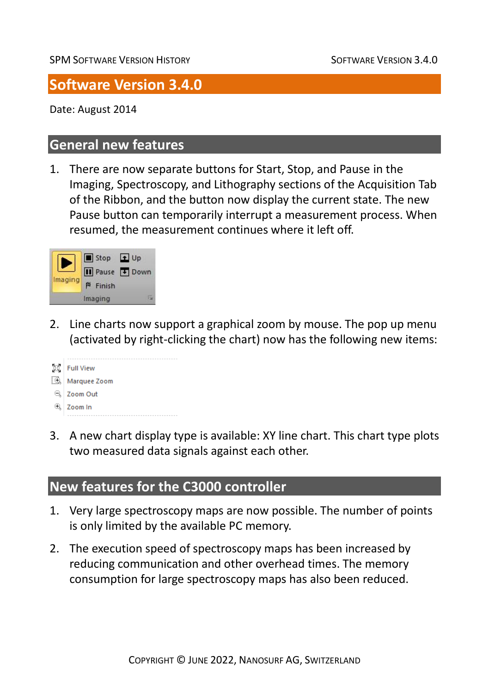# **Software Version 3.4.0**

Date: August 2014

# **General new features**

1. There are now separate buttons for Start, Stop, and Pause in the Imaging, Spectroscopy, and Lithography sections of the Acquisition Tab of the Ribbon, and the button now display the current state. The new Pause button can temporarily interrupt a measurement process. When resumed, the measurement continues where it left off.



2. Line charts now support a graphical zoom by mouse. The pop up menu (activated by right-clicking the chart) now has the following new items:



3. A new chart display type is available: XY line chart. This chart type plots two measured data signals against each other.

# **New features for the C3000 controller**

- 1. Very large spectroscopy maps are now possible. The number of points is only limited by the available PC memory.
- 2. The execution speed of spectroscopy maps has been increased by reducing communication and other overhead times. The memory consumption for large spectroscopy maps has also been reduced.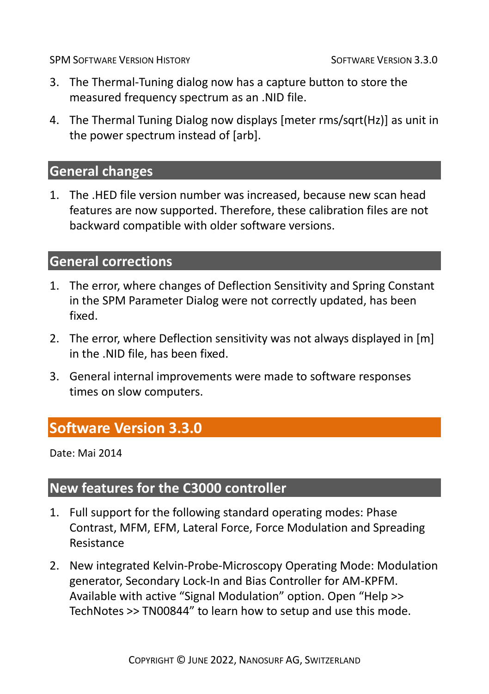- 3. The Thermal-Tuning dialog now has a capture button to store the measured frequency spectrum as an .NID file.
- 4. The Thermal Tuning Dialog now displays [meter rms/sqrt(Hz)] as unit in the power spectrum instead of [arb].

#### **General changes**

1. The .HED file version number was increased, because new scan head features are now supported. Therefore, these calibration files are not backward compatible with older software versions.

#### **General corrections**

- 1. The error, where changes of Deflection Sensitivity and Spring Constant in the SPM Parameter Dialog were not correctly updated, has been fixed.
- 2. The error, where Deflection sensitivity was not always displayed in [m] in the .NID file, has been fixed.
- 3. General internal improvements were made to software responses times on slow computers.

# **Software Version 3.3.0**

Date: Mai 2014

# **New features for the C3000 controller**

- 1. Full support for the following standard operating modes: Phase Contrast, MFM, EFM, Lateral Force, Force Modulation and Spreading Resistance
- 2. New integrated Kelvin-Probe-Microscopy Operating Mode: Modulation generator, Secondary Lock-In and Bias Controller for AM-KPFM. Available with active "Signal Modulation" option. Open "Help >> TechNotes >> TN00844" to learn how to setup and use this mode.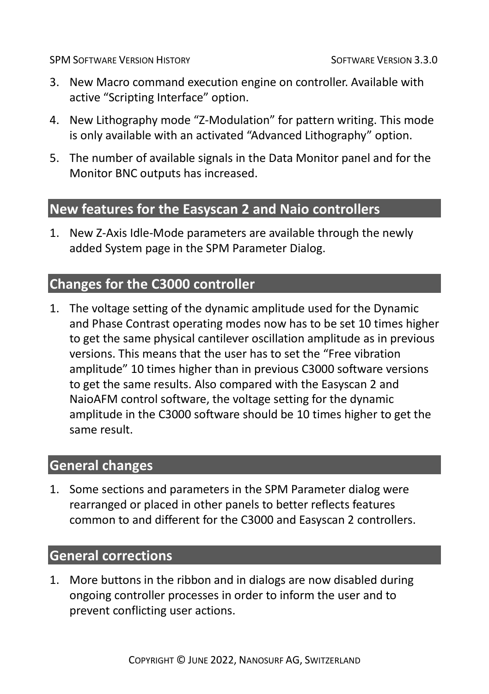- 3. New Macro command execution engine on controller. Available with active "Scripting Interface" option.
- 4. New Lithography mode "Z-Modulation" for pattern writing. This mode is only available with an activated "Advanced Lithography" option.
- 5. The number of available signals in the Data Monitor panel and for the Monitor BNC outputs has increased.

### **New features for the Easyscan 2 and Naio controllers**

1. New Z-Axis Idle-Mode parameters are available through the newly added System page in the SPM Parameter Dialog.

# **Changes for the C3000 controller**

1. The voltage setting of the dynamic amplitude used for the Dynamic and Phase Contrast operating modes now has to be set 10 times higher to get the same physical cantilever oscillation amplitude as in previous versions. This means that the user has to set the "Free vibration amplitude" 10 times higher than in previous C3000 software versions to get the same results. Also compared with the Easyscan 2 and NaioAFM control software, the voltage setting for the dynamic amplitude in the C3000 software should be 10 times higher to get the same result.

# **General changes**

1. Some sections and parameters in the SPM Parameter dialog were rearranged or placed in other panels to better reflects features common to and different for the C3000 and Easyscan 2 controllers.

# **General corrections**

1. More buttons in the ribbon and in dialogs are now disabled during ongoing controller processes in order to inform the user and to prevent conflicting user actions.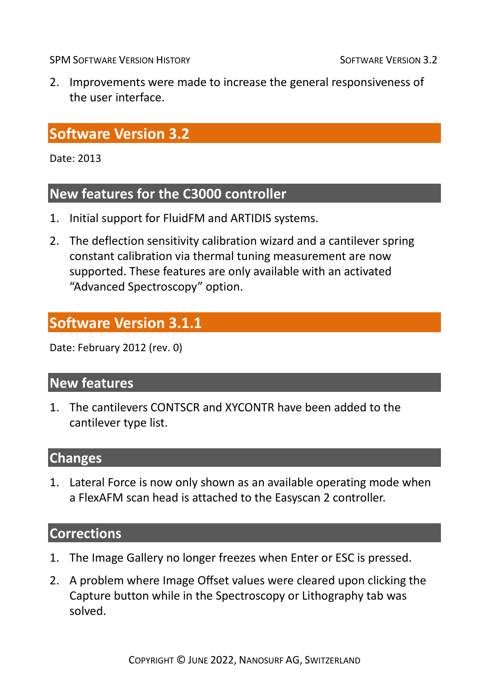2. Improvements were made to increase the general responsiveness of the user interface.

# **Software Version 3.2**

Date: 2013

# **New features for the C3000 controller**

- 1. Initial support for FluidFM and ARTIDIS systems.
- 2. The deflection sensitivity calibration wizard and a cantilever spring constant calibration via thermal tuning measurement are now supported. These features are only available with an activated "Advanced Spectroscopy" option.

# **Software Version 3.1.1**

Date: February 2012 (rev. 0)

#### **New features**

1. The cantilevers CONTSCR and XYCONTR have been added to the cantilever type list.

#### **Changes**

1. Lateral Force is now only shown as an available operating mode when a FlexAFM scan head is attached to the Easyscan 2 controller.

- 1. The Image Gallery no longer freezes when Enter or ESC is pressed.
- 2. A problem where Image Offset values were cleared upon clicking the Capture button while in the Spectroscopy or Lithography tab was solved.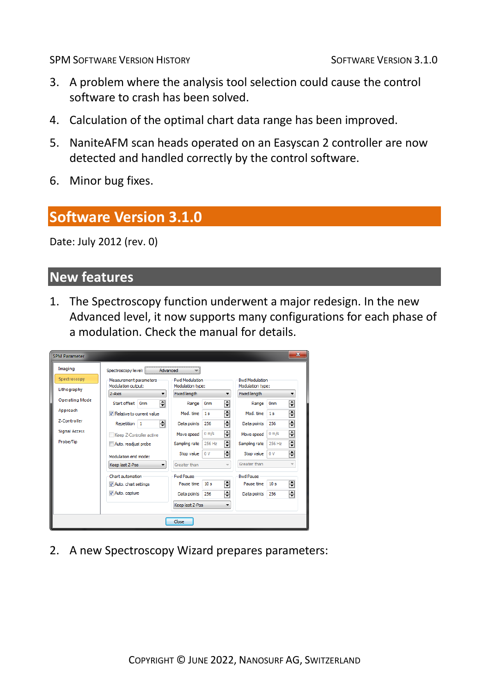- 3. A problem where the analysis tool selection could cause the control software to crash has been solved.
- 4. Calculation of the optimal chart data range has been improved.
- 5. NaniteAFM scan heads operated on an Easyscan 2 controller are now detected and handled correctly by the control software.
- 6. Minor bug fixes.

# **Software Version 3.1.0**

Date: July 2012 (rev. 0)

# **New features**

1. The Spectroscopy function underwent a major redesign. In the new Advanced level, it now supports many configurations for each phase of a modulation. Check the manual for details.

| <b>SPM Parameter</b>  |                                              |                                           |                          |                                           |                 | $\mathbf{x}$             |
|-----------------------|----------------------------------------------|-------------------------------------------|--------------------------|-------------------------------------------|-----------------|--------------------------|
| Imaging               | Spectroscopy level:<br>Advanced              |                                           |                          |                                           |                 |                          |
| Spectroscopy          | Measurement parameters<br>Modulation output: | <b>Fwd Modulation</b><br>Modulation type: |                          | <b>Bwd Modulation</b><br>Modulation type: |                 |                          |
| Lithography           | $Z-Axis$<br>۰                                | Fixed length                              | $\overline{\phantom{a}}$ | Fixed length                              |                 | $\overline{\phantom{a}}$ |
| <b>Operating Mode</b> | ÷<br>Start offset 0nm                        | Range                                     | 훆<br>0 <sub>m</sub>      | Range                                     | Onm             | 훆                        |
| Approach              | V Relative to current value                  | Mod. time                                 | 훆<br>1 <sub>s</sub>      | Mod. time                                 | 1s              | ÷                        |
| Z-Controller          | 즦<br>Repetition 1                            | Data points                               | ÷<br>256                 | Data points                               | 256             | 훆                        |
| <b>Signal Access</b>  | Keep Z-Controller active                     | Move speed                                | 듺<br>0 m/s               | Move speed                                | 0 m/s           | ÷                        |
| Probe/Tip             | Auto, readiust probe                         | Sampling rate                             | 즦<br>256 Hz              | Sampling rate                             | 256 Hz          | ÷                        |
|                       | Modulation end mode:                         | Stop value                                | 즦<br>0V                  | Stop value                                | 0V              | ₽                        |
|                       | Keep last Z-Pos<br>۰                         | Greater than                              | $\overline{\phantom{a}}$ | Greater than                              |                 | $\overline{\mathbf{v}}$  |
|                       | Chart automation                             | <b>Fwd Pause</b>                          |                          | <b>Bwd Pause</b>                          |                 |                          |
|                       | V Auto, chart settings                       | Pause time                                | 훆<br>10 <sub>s</sub>     | Pause time                                | 10 <sub>s</sub> | 훆                        |
|                       | Auto, capture                                | Data points                               | 훆<br>256                 | Data points                               | 256             | 읚                        |
|                       |                                              | Keep last Z-Pos                           | $\overline{\phantom{a}}$ |                                           |                 |                          |
|                       |                                              | Close                                     |                          |                                           |                 |                          |

2. A new Spectroscopy Wizard prepares parameters: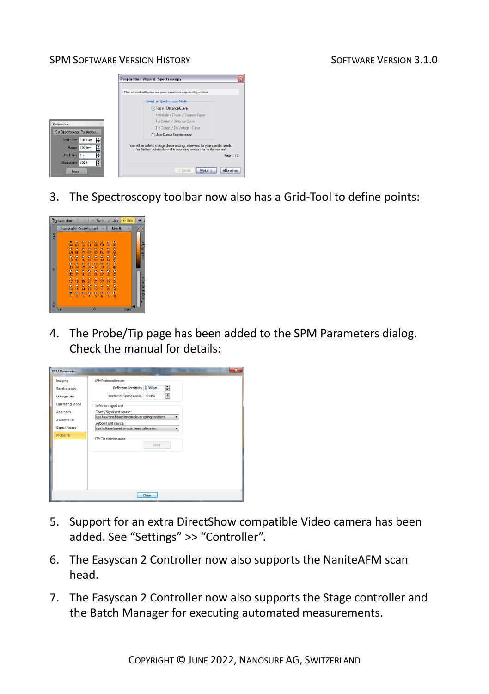



3. The Spectroscopy toolbar now also has a Grid-Tool to define points:



4. The Probe/Tip page has been added to the SPM Parameters dialog. Check the manual for details:

| Imaging               | <b>AFM Probe calibration</b>                        |
|-----------------------|-----------------------------------------------------|
| Spectroscopy          | ᆌ<br>Deflection Sensitivity 2.069um                 |
| Lithography           | 릨<br>Cantilever Spring Const. 48 N/m                |
| <b>Operating Mode</b> | Deflection signal unit                              |
| Approach              | Chart / Signal unit source:                         |
| Z-Controller          | Use Newtons based on cantiever spring constant<br>۰ |
|                       | Setpoint unit source:                               |
| Signal Access         | Use Voltage based on scan head calibration          |
| Probe/Tip             | STM Tip cleaning pulse<br>Start                     |
|                       | Close                                               |

- 5. Support for an extra DirectShow compatible Video camera has been added. See "Settings" >> "Controller".
- 6. The Easyscan 2 Controller now also supports the NaniteAFM scan head.
- 7. The Easyscan 2 Controller now also supports the Stage controller and the Batch Manager for executing automated measurements.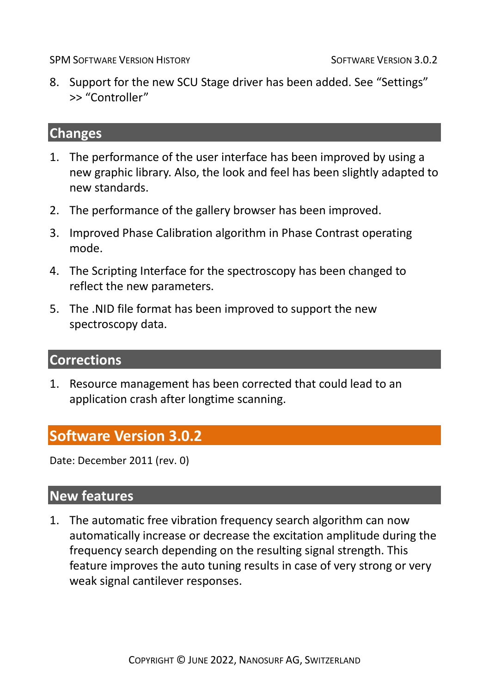8. Support for the new SCU Stage driver has been added. See "Settings" >> "Controller"

#### **Changes**

- 1. The performance of the user interface has been improved by using a new graphic library. Also, the look and feel has been slightly adapted to new standards.
- 2. The performance of the gallery browser has been improved.
- 3. Improved Phase Calibration algorithm in Phase Contrast operating mode.
- 4. The Scripting Interface for the spectroscopy has been changed to reflect the new parameters.
- 5. The .NID file format has been improved to support the new spectroscopy data.

#### **Corrections**

1. Resource management has been corrected that could lead to an application crash after longtime scanning.

# **Software Version 3.0.2**

Date: December 2011 (rev. 0)

#### **New features**

1. The automatic free vibration frequency search algorithm can now automatically increase or decrease the excitation amplitude during the frequency search depending on the resulting signal strength. This feature improves the auto tuning results in case of very strong or very weak signal cantilever responses.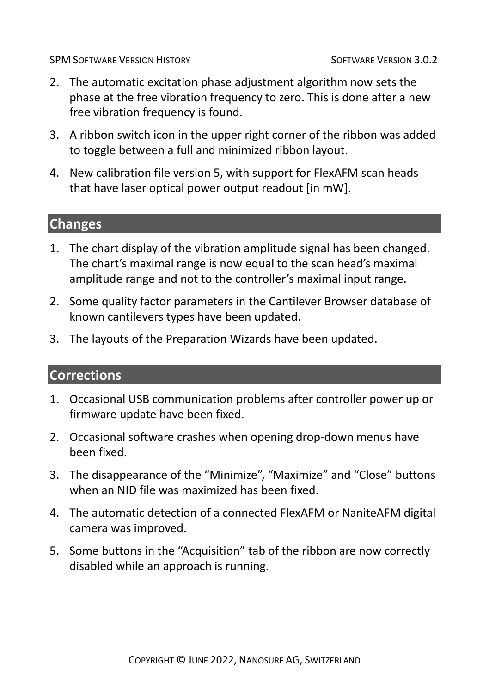- 2. The automatic excitation phase adjustment algorithm now sets the phase at the free vibration frequency to zero. This is done after a new free vibration frequency is found.
- 3. A ribbon switch icon in the upper right corner of the ribbon was added to toggle between a full and minimized ribbon layout.
- 4. New calibration file version 5, with support for FlexAFM scan heads that have laser optical power output readout [in mW].

#### **Changes**

- 1. The chart display of the vibration amplitude signal has been changed. The chart's maximal range is now equal to the scan head's maximal amplitude range and not to the controller's maximal input range.
- 2. Some quality factor parameters in the Cantilever Browser database of known cantilevers types have been updated.
- 3. The layouts of the Preparation Wizards have been updated.

- 1. Occasional USB communication problems after controller power up or firmware update have been fixed.
- 2. Occasional software crashes when opening drop-down menus have been fixed.
- 3. The disappearance of the "Minimize", "Maximize" and "Close" buttons when an NID file was maximized has been fixed.
- 4. The automatic detection of a connected FlexAFM or NaniteAFM digital camera was improved.
- 5. Some buttons in the "Acquisition" tab of the ribbon are now correctly disabled while an approach is running.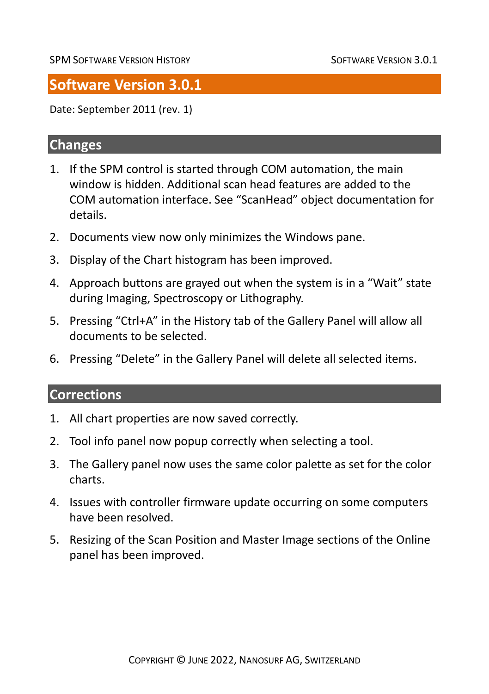# **Software Version 3.0.1**

Date: September 2011 (rev. 1)

### **Changes**

- 1. If the SPM control is started through COM automation, the main window is hidden. Additional scan head features are added to the COM automation interface. See "ScanHead" object documentation for details.
- 2. Documents view now only minimizes the Windows pane.
- 3. Display of the Chart histogram has been improved.
- 4. Approach buttons are grayed out when the system is in a "Wait" state during Imaging, Spectroscopy or Lithography.
- 5. Pressing "Ctrl+A" in the History tab of the Gallery Panel will allow all documents to be selected.
- 6. Pressing "Delete" in the Gallery Panel will delete all selected items.

- 1. All chart properties are now saved correctly.
- 2. Tool info panel now popup correctly when selecting a tool.
- 3. The Gallery panel now uses the same color palette as set for the color charts.
- 4. Issues with controller firmware update occurring on some computers have been resolved.
- 5. Resizing of the Scan Position and Master Image sections of the Online panel has been improved.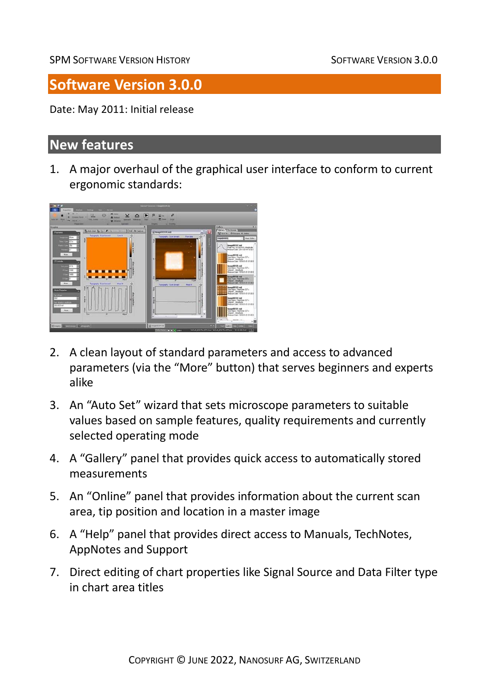# **Software Version 3.0.0**

Date: May 2011: Initial release

#### **New features**

1. A major overhaul of the graphical user interface to conform to current ergonomic standards:



- 2. A clean layout of standard parameters and access to advanced parameters (via the "More" button) that serves beginners and experts alike
- 3. An "Auto Set" wizard that sets microscope parameters to suitable values based on sample features, quality requirements and currently selected operating mode
- 4. A "Gallery" panel that provides quick access to automatically stored measurements
- 5. An "Online" panel that provides information about the current scan area, tip position and location in a master image
- 6. A "Help" panel that provides direct access to Manuals, TechNotes, AppNotes and Support
- 7. Direct editing of chart properties like Signal Source and Data Filter type in chart area titles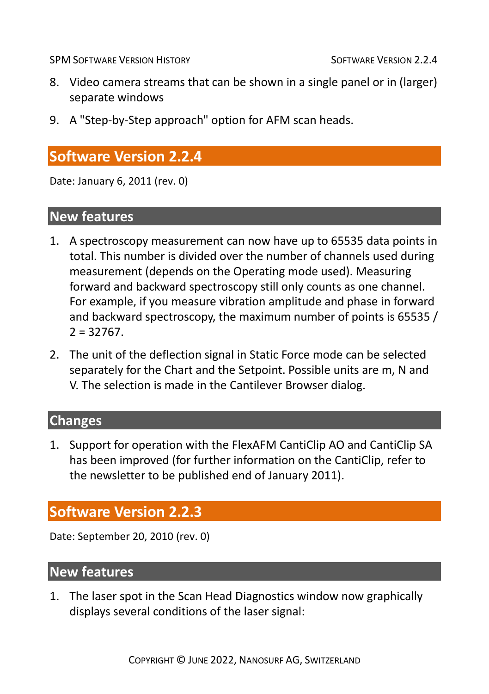- 8. Video camera streams that can be shown in a single panel or in (larger) separate windows
- 9. A "Step-by-Step approach" option for AFM scan heads.

# **Software Version 2.2.4**

Date: January 6, 2011 (rev. 0)

#### **New features**

- 1. A spectroscopy measurement can now have up to 65535 data points in total. This number is divided over the number of channels used during measurement (depends on the Operating mode used). Measuring forward and backward spectroscopy still only counts as one channel. For example, if you measure vibration amplitude and phase in forward and backward spectroscopy, the maximum number of points is 65535 /  $2 = 32767$ .
- 2. The unit of the deflection signal in Static Force mode can be selected separately for the Chart and the Setpoint. Possible units are m, N and V. The selection is made in the Cantilever Browser dialog.

#### **Changes**

1. Support for operation with the FlexAFM CantiClip AO and CantiClip SA has been improved (for further information on the CantiClip, refer to the newsletter to be published end of January 2011).

# **Software Version 2.2.3**

Date: September 20, 2010 (rev. 0)

# **New features**

1. The laser spot in the Scan Head Diagnostics window now graphically displays several conditions of the laser signal: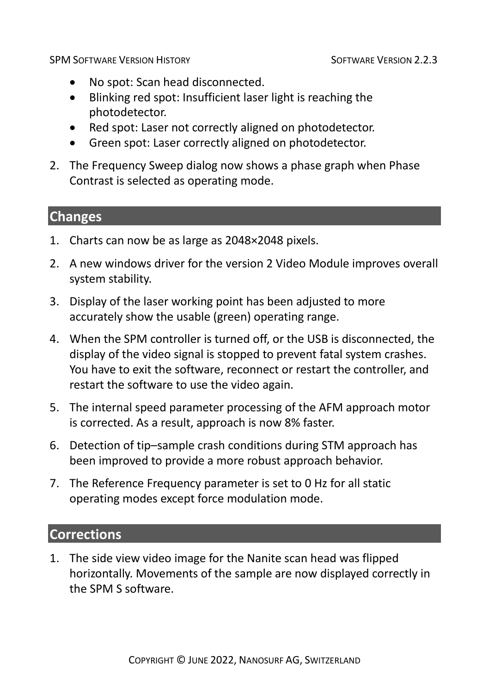- No spot: Scan head disconnected.
- Blinking red spot: Insufficient laser light is reaching the photodetector.
- Red spot: Laser not correctly aligned on photodetector.
- Green spot: Laser correctly aligned on photodetector.
- 2. The Frequency Sweep dialog now shows a phase graph when Phase Contrast is selected as operating mode.

#### **Changes**

- 1. Charts can now be as large as 2048×2048 pixels.
- 2. A new windows driver for the version 2 Video Module improves overall system stability.
- 3. Display of the laser working point has been adjusted to more accurately show the usable (green) operating range.
- 4. When the SPM controller is turned off, or the USB is disconnected, the display of the video signal is stopped to prevent fatal system crashes. You have to exit the software, reconnect or restart the controller, and restart the software to use the video again.
- 5. The internal speed parameter processing of the AFM approach motor is corrected. As a result, approach is now 8% faster.
- 6. Detection of tip–sample crash conditions during STM approach has been improved to provide a more robust approach behavior.
- 7. The Reference Frequency parameter is set to 0 Hz for all static operating modes except force modulation mode.

# **Corrections**

1. The side view video image for the Nanite scan head was flipped horizontally. Movements of the sample are now displayed correctly in the SPM S software.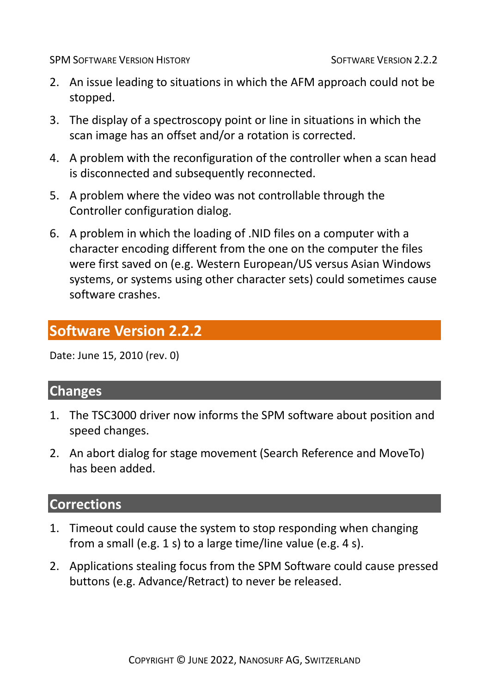- 2. An issue leading to situations in which the AFM approach could not be stopped.
- 3. The display of a spectroscopy point or line in situations in which the scan image has an offset and/or a rotation is corrected.
- 4. A problem with the reconfiguration of the controller when a scan head is disconnected and subsequently reconnected.
- 5. A problem where the video was not controllable through the Controller configuration dialog.
- 6. A problem in which the loading of .NID files on a computer with a character encoding different from the one on the computer the files were first saved on (e.g. Western European/US versus Asian Windows systems, or systems using other character sets) could sometimes cause software crashes.

# **Software Version 2.2.2**

Date: June 15, 2010 (rev. 0)

#### **Changes**

- 1. The TSC3000 driver now informs the SPM software about position and speed changes.
- 2. An abort dialog for stage movement (Search Reference and MoveTo) has been added.

- 1. Timeout could cause the system to stop responding when changing from a small (e.g. 1 s) to a large time/line value (e.g. 4 s).
- 2. Applications stealing focus from the SPM Software could cause pressed buttons (e.g. Advance/Retract) to never be released.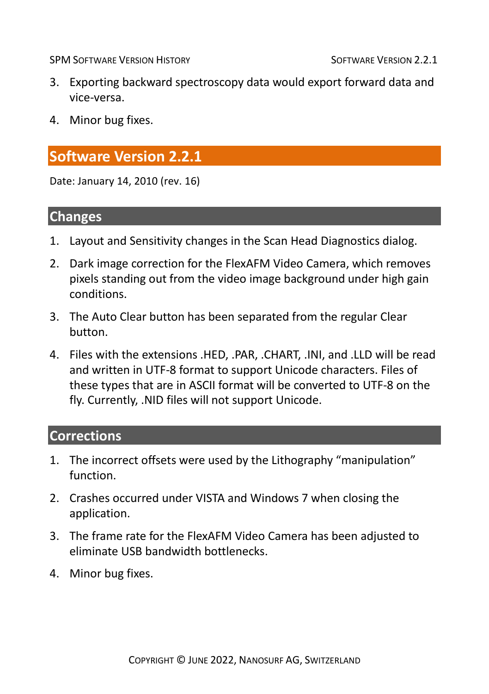- 3. Exporting backward spectroscopy data would export forward data and vice-versa.
- 4. Minor bug fixes.

# **Software Version 2.2.1**

Date: January 14, 2010 (rev. 16)

#### **Changes**

- 1. Layout and Sensitivity changes in the Scan Head Diagnostics dialog.
- 2. Dark image correction for the FlexAFM Video Camera, which removes pixels standing out from the video image background under high gain conditions.
- 3. The Auto Clear button has been separated from the regular Clear button.
- 4. Files with the extensions .HED, .PAR, .CHART, .INI, and .LLD will be read and written in UTF-8 format to support Unicode characters. Files of these types that are in ASCII format will be converted to UTF-8 on the fly. Currently, .NID files will not support Unicode.

- 1. The incorrect offsets were used by the Lithography "manipulation" function.
- 2. Crashes occurred under VISTA and Windows 7 when closing the application.
- 3. The frame rate for the FlexAFM Video Camera has been adjusted to eliminate USB bandwidth bottlenecks.
- 4. Minor bug fixes.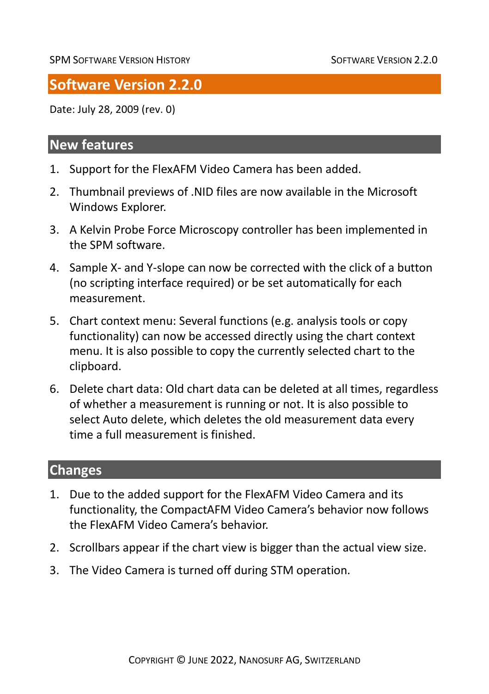# **Software Version 2.2.0**

Date: July 28, 2009 (rev. 0)

### **New features**

- 1. Support for the FlexAFM Video Camera has been added.
- 2. Thumbnail previews of .NID files are now available in the Microsoft Windows Explorer.
- 3. A Kelvin Probe Force Microscopy controller has been implemented in the SPM software.
- 4. Sample X- and Y-slope can now be corrected with the click of a button (no scripting interface required) or be set automatically for each measurement.
- 5. Chart context menu: Several functions (e.g. analysis tools or copy functionality) can now be accessed directly using the chart context menu. It is also possible to copy the currently selected chart to the clipboard.
- 6. Delete chart data: Old chart data can be deleted at all times, regardless of whether a measurement is running or not. It is also possible to select Auto delete, which deletes the old measurement data every time a full measurement is finished.

### **Changes**

- 1. Due to the added support for the FlexAFM Video Camera and its functionality, the CompactAFM Video Camera's behavior now follows the FlexAFM Video Camera's behavior.
- 2. Scrollbars appear if the chart view is bigger than the actual view size.
- 3. The Video Camera is turned off during STM operation.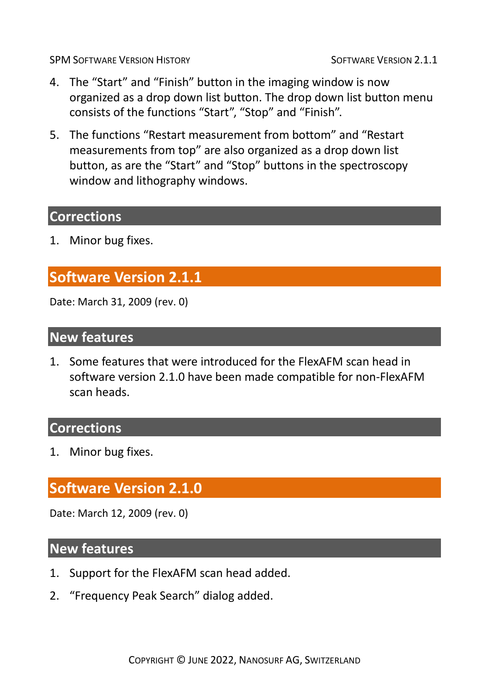- 4. The "Start" and "Finish" button in the imaging window is now organized as a drop down list button. The drop down list button menu consists of the functions "Start", "Stop" and "Finish".
- 5. The functions "Restart measurement from bottom" and "Restart measurements from top" are also organized as a drop down list button, as are the "Start" and "Stop" buttons in the spectroscopy window and lithography windows.

# **Corrections**

1. Minor bug fixes.

# **Software Version 2.1.1**

Date: March 31, 2009 (rev. 0)

#### **New features**

1. Some features that were introduced for the FlexAFM scan head in software version 2.1.0 have been made compatible for non-FlexAFM scan heads.

#### **Corrections**

1. Minor bug fixes.

# **Software Version 2.1.0**

Date: March 12, 2009 (rev. 0)

#### **New features**

- 1. Support for the FlexAFM scan head added.
- 2. "Frequency Peak Search" dialog added.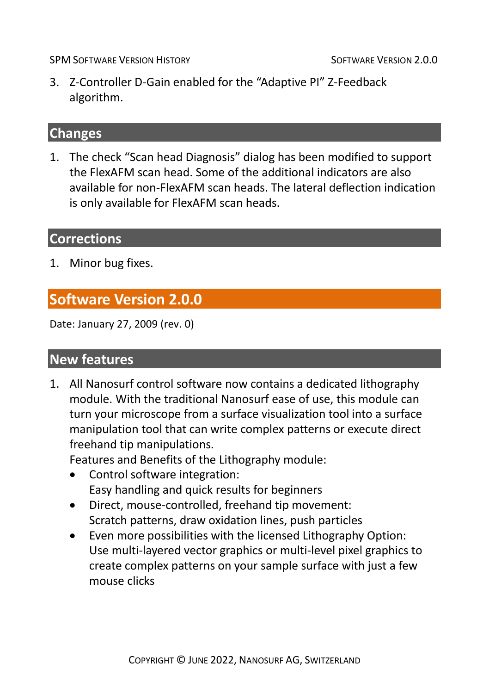3. Z-Controller D-Gain enabled for the "Adaptive PI" Z-Feedback algorithm.

#### **Changes**

1. The check "Scan head Diagnosis" dialog has been modified to support the FlexAFM scan head. Some of the additional indicators are also available for non-FlexAFM scan heads. The lateral deflection indication is only available for FlexAFM scan heads.

# **Corrections**

1. Minor bug fixes.

# **Software Version 2.0.0**

Date: January 27, 2009 (rev. 0)

#### **New features**

1. All Nanosurf control software now contains a dedicated lithography module. With the traditional Nanosurf ease of use, this module can turn your microscope from a surface visualization tool into a surface manipulation tool that can write complex patterns or execute direct freehand tip manipulations.

Features and Benefits of the Lithography module:

- Control software integration: Easy handling and quick results for beginners
- Direct, mouse-controlled, freehand tip movement: Scratch patterns, draw oxidation lines, push particles
- Even more possibilities with the licensed Lithography Option: Use multi-layered vector graphics or multi-level pixel graphics to create complex patterns on your sample surface with just a few mouse clicks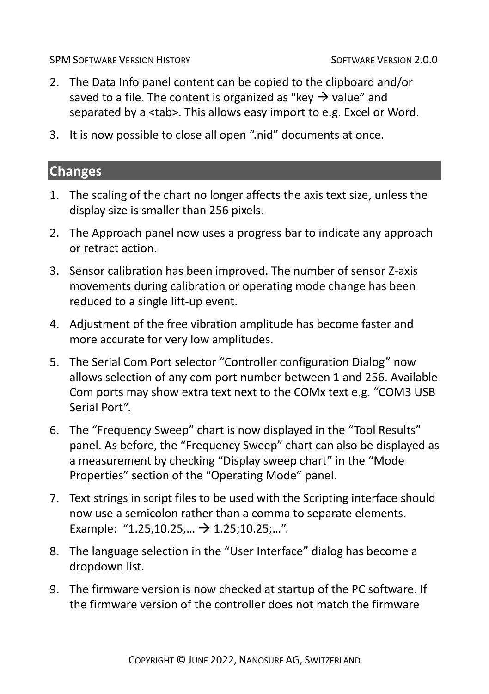- 2. The Data Info panel content can be copied to the clipboard and/or saved to a file. The content is organized as "key  $\rightarrow$  value" and separated by a <tab>. This allows easy import to e.g. Excel or Word.
- 3. It is now possible to close all open ".nid" documents at once.

#### **Changes**

- 1. The scaling of the chart no longer affects the axis text size, unless the display size is smaller than 256 pixels.
- 2. The Approach panel now uses a progress bar to indicate any approach or retract action.
- 3. Sensor calibration has been improved. The number of sensor Z-axis movements during calibration or operating mode change has been reduced to a single lift-up event.
- 4. Adjustment of the free vibration amplitude has become faster and more accurate for very low amplitudes.
- 5. The Serial Com Port selector "Controller configuration Dialog" now allows selection of any com port number between 1 and 256. Available Com ports may show extra text next to the COMx text e.g. "COM3 USB Serial Port".
- 6. The "Frequency Sweep" chart is now displayed in the "Tool Results" panel. As before, the "Frequency Sweep" chart can also be displayed as a measurement by checking "Display sweep chart" in the "Mode Properties" section of the "Operating Mode" panel.
- 7. Text strings in script files to be used with the Scripting interface should now use a semicolon rather than a comma to separate elements. Example: "1.25,10.25,...  $\rightarrow$  1.25;10.25;...".
- 8. The language selection in the "User Interface" dialog has become a dropdown list.
- 9. The firmware version is now checked at startup of the PC software. If the firmware version of the controller does not match the firmware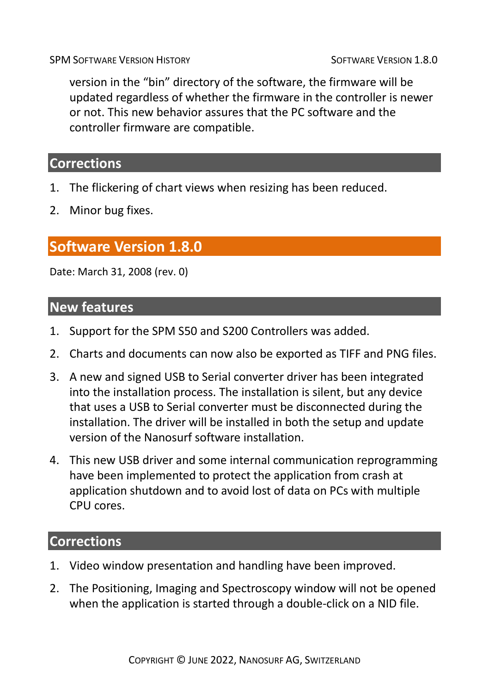version in the "bin" directory of the software, the firmware will be updated regardless of whether the firmware in the controller is newer or not. This new behavior assures that the PC software and the controller firmware are compatible.

# **Corrections**

- 1. The flickering of chart views when resizing has been reduced.
- 2. Minor bug fixes.

# **Software Version 1.8.0**

Date: March 31, 2008 (rev. 0)

#### **New features**

- 1. Support for the SPM S50 and S200 Controllers was added.
- 2. Charts and documents can now also be exported as TIFF and PNG files.
- 3. A new and signed USB to Serial converter driver has been integrated into the installation process. The installation is silent, but any device that uses a USB to Serial converter must be disconnected during the installation. The driver will be installed in both the setup and update version of the Nanosurf software installation.
- 4. This new USB driver and some internal communication reprogramming have been implemented to protect the application from crash at application shutdown and to avoid lost of data on PCs with multiple CPU cores.

- 1. Video window presentation and handling have been improved.
- 2. The Positioning, Imaging and Spectroscopy window will not be opened when the application is started through a double-click on a NID file.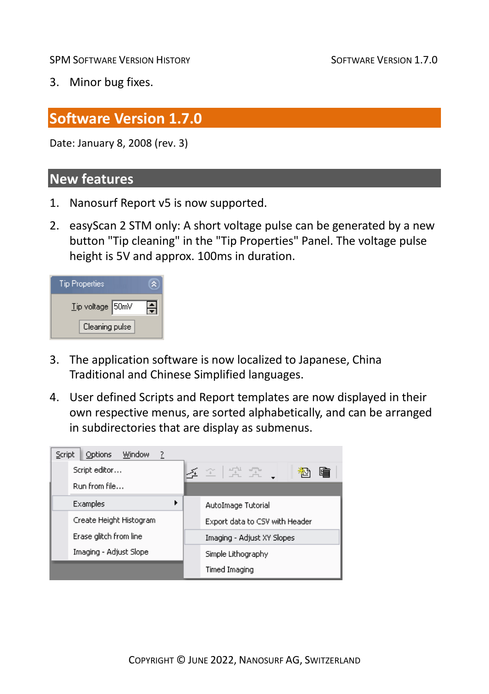3. Minor bug fixes.

# **Software Version 1.7.0**

Date: January 8, 2008 (rev. 3)

#### **New features**

- 1. Nanosurf Report v5 is now supported.
- 2. easyScan 2 STM only: A short voltage pulse can be generated by a new button "Tip cleaning" in the "Tip Properties" Panel. The voltage pulse height is 5V and approx. 100ms in duration.

| <b>Tip Properties</b> |  |
|-----------------------|--|
| Tip voltage 50mV      |  |
| Cleaning pulse        |  |

- 3. The application software is now localized to Japanese, China Traditional and Chinese Simplified languages.
- 4. User defined Scripts and Report templates are now displayed in their own respective menus, are sorted alphabetically, and can be arranged in subdirectories that are display as submenus.

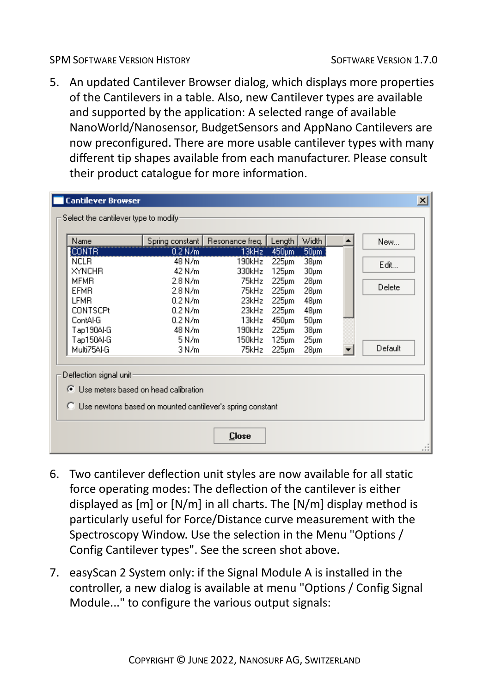5. An updated Cantilever Browser dialog, which displays more properties of the Cantilevers in a table. Also, new Cantilever types are available and supported by the application: A selected range of available NanoWorld/Nanosensor, BudgetSensors and AppNano Cantilevers are now preconfigured. There are more usable cantilever types with many different tip shapes available from each manufacturer. Please consult their product catalogue for more information.

| Name                    |                                                             | Spring constant   Resonance freq. | Length         | <b>Width</b>                   | New     |
|-------------------------|-------------------------------------------------------------|-----------------------------------|----------------|--------------------------------|---------|
| <b>CONTR</b>            | $0.2$ N/m                                                   | 13kHz                             | 450um          | $50 \mu m$                     |         |
| <b>NCLB</b>             | 48 N/m                                                      | 190kHz                            | $225 \mu m$    | 38 <sub>µm</sub>               | Edit    |
| XYNCHR<br>MFMB.         | 42 N/m<br>2.8 N/m                                           | 330kHz<br>75kHz                   | 125µm          | $30 \mu m$                     |         |
| EFMR.                   | 2.8 N/m                                                     | 75kHz                             | 225µm<br>225µm | $28 \mu m$<br>28 <sub>µm</sub> | Delete  |
| LFMR.                   | 0.2 N/m                                                     | 23kHz                             | 225µm          | $48 \mu m$                     |         |
| <b>CONTSCPt</b>         | $0.2$ N/m.                                                  | 23kHz                             | 225µm          | 48 <sub>µm</sub>               |         |
| ContAl-G                | 0.2 N/m                                                     | 13kHz                             | 450µm          | $50 \mu m$                     |         |
| Tap190Al-G              | 48 N/m                                                      | 190kHz                            | 225µm          | $38 \mu m$                     |         |
| Tap150Al-G              | 5 N/m                                                       | 150kHz                            | $125 \mu m$    | $25 \mu m$                     |         |
| Multi75Al-G             | 3 N/m                                                       | 75kHz                             | 225µm          | $28 \mu m$                     | Default |
| Deflection signal unit: |                                                             |                                   |                |                                |         |
|                         | ◯ Use meters based on head calibration                      |                                   |                |                                |         |
|                         | C Use newtons based on mounted cantilever's spring constant |                                   |                |                                |         |

- 6. Two cantilever deflection unit styles are now available for all static force operating modes: The deflection of the cantilever is either displayed as [m] or [N/m] in all charts. The [N/m] display method is particularly useful for Force/Distance curve measurement with the Spectroscopy Window. Use the selection in the Menu "Options / Config Cantilever types". See the screen shot above.
- 7. easyScan 2 System only: if the Signal Module A is installed in the controller, a new dialog is available at menu "Options / Config Signal Module..." to configure the various output signals: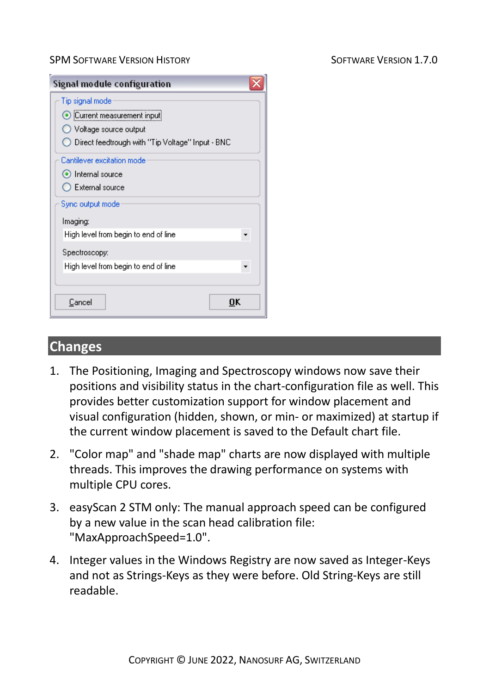| Signal module configuration                      |  |
|--------------------------------------------------|--|
| Tip signal mode                                  |  |
| Current measurement input                        |  |
| Voltage source output                            |  |
| Direct feedtrough with "Tip Voltage" Input - BNC |  |
| Cantilever excitation mode                       |  |
| lnternal source                                  |  |
| $\bigcirc$ External source                       |  |
| Sync output mode                                 |  |
| Imaging:                                         |  |
| High level from begin to end of line             |  |
| Spectroscopy:                                    |  |
| High level from begin to end of line             |  |
|                                                  |  |
| Cancel<br>пк                                     |  |

#### **Changes**

- 1. The Positioning, Imaging and Spectroscopy windows now save their positions and visibility status in the chart-configuration file as well. This provides better customization support for window placement and visual configuration (hidden, shown, or min- or maximized) at startup if the current window placement is saved to the Default chart file.
- 2. "Color map" and "shade map" charts are now displayed with multiple threads. This improves the drawing performance on systems with multiple CPU cores.
- 3. easyScan 2 STM only: The manual approach speed can be configured by a new value in the scan head calibration file: "MaxApproachSpeed=1.0".
- 4. Integer values in the Windows Registry are now saved as Integer-Keys and not as Strings-Keys as they were before. Old String-Keys are still readable.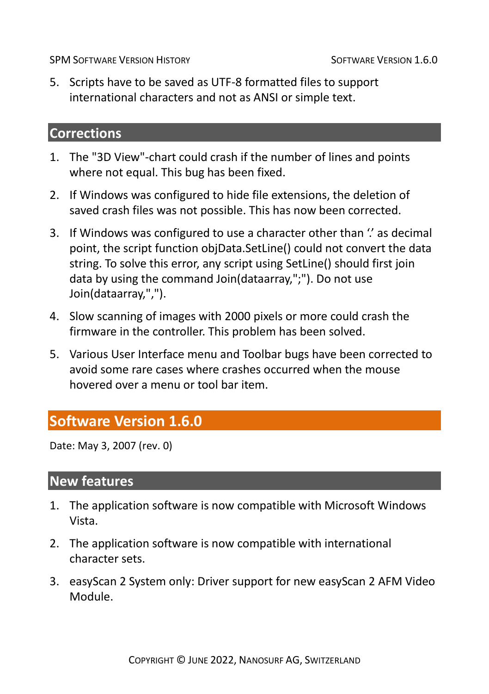5. Scripts have to be saved as UTF-8 formatted files to support international characters and not as ANSI or simple text.

# **Corrections**

- 1. The "3D View"-chart could crash if the number of lines and points where not equal. This bug has been fixed.
- 2. If Windows was configured to hide file extensions, the deletion of saved crash files was not possible. This has now been corrected.
- 3. If Windows was configured to use a character other than " as decimal point, the script function objData.SetLine() could not convert the data string. To solve this error, any script using SetLine() should first join data by using the command Join(dataarray,";"). Do not use Join(dataarray,",").
- 4. Slow scanning of images with 2000 pixels or more could crash the firmware in the controller. This problem has been solved.
- 5. Various User Interface menu and Toolbar bugs have been corrected to avoid some rare cases where crashes occurred when the mouse hovered over a menu or tool bar item.

# **Software Version 1.6.0**

Date: May 3, 2007 (rev. 0)

# **New features**

- 1. The application software is now compatible with Microsoft Windows Vista.
- 2. The application software is now compatible with international character sets.
- 3. easyScan 2 System only: Driver support for new easyScan 2 AFM Video Module.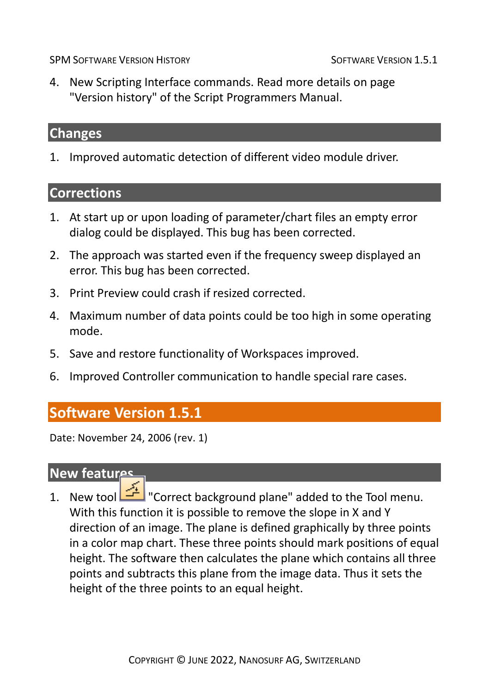4. New Scripting Interface commands. Read more details on page "Version history" of the Script Programmers Manual.

#### **Changes**

1. Improved automatic detection of different video module driver.

# **Corrections**

- 1. At start up or upon loading of parameter/chart files an empty error dialog could be displayed. This bug has been corrected.
- 2. The approach was started even if the frequency sweep displayed an error. This bug has been corrected.
- 3. Print Preview could crash if resized corrected.
- 4. Maximum number of data points could be too high in some operating mode.
- 5. Save and restore functionality of Workspaces improved.
- 6. Improved Controller communication to handle special rare cases.

#### **Software Version 1.5.1**

Date: November 24, 2006 (rev. 1)

#### **New features**

1. New tool  $\boxed{1}$  "Correct background plane" added to the Tool menu. With this function it is possible to remove the slope in X and Y direction of an image. The plane is defined graphically by three points in a color map chart. These three points should mark positions of equal height. The software then calculates the plane which contains all three points and subtracts this plane from the image data. Thus it sets the height of the three points to an equal height.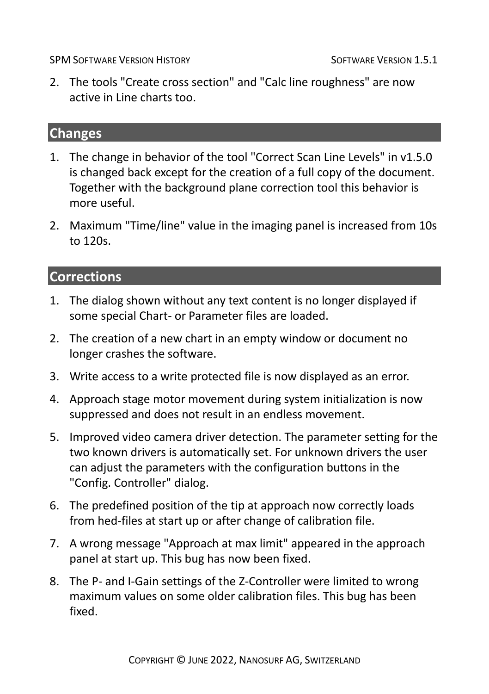2. The tools "Create cross section" and "Calc line roughness" are now active in Line charts too.

#### **Changes**

- 1. The change in behavior of the tool "Correct Scan Line Levels" in v1.5.0 is changed back except for the creation of a full copy of the document. Together with the background plane correction tool this behavior is more useful.
- 2. Maximum "Time/line" value in the imaging panel is increased from 10s to 120s.

- 1. The dialog shown without any text content is no longer displayed if some special Chart- or Parameter files are loaded.
- 2. The creation of a new chart in an empty window or document no longer crashes the software.
- 3. Write access to a write protected file is now displayed as an error.
- 4. Approach stage motor movement during system initialization is now suppressed and does not result in an endless movement.
- 5. Improved video camera driver detection. The parameter setting for the two known drivers is automatically set. For unknown drivers the user can adjust the parameters with the configuration buttons in the "Config. Controller" dialog.
- 6. The predefined position of the tip at approach now correctly loads from hed-files at start up or after change of calibration file.
- 7. A wrong message "Approach at max limit" appeared in the approach panel at start up. This bug has now been fixed.
- 8. The P- and I-Gain settings of the Z-Controller were limited to wrong maximum values on some older calibration files. This bug has been fixed.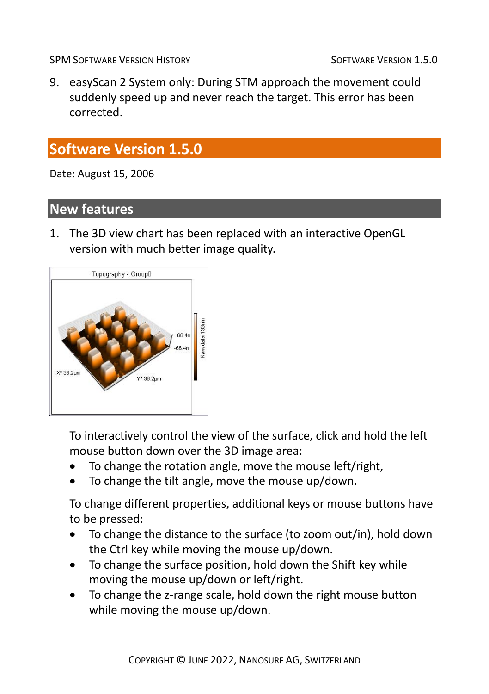9. easyScan 2 System only: During STM approach the movement could suddenly speed up and never reach the target. This error has been corrected.

# **Software Version 1.5.0**

Date: August 15, 2006

#### **New features**

1. The 3D view chart has been replaced with an interactive OpenGL version with much better image quality.



To interactively control the view of the surface, click and hold the left mouse button down over the 3D image area:

- To change the rotation angle, move the mouse left/right,
- To change the tilt angle, move the mouse up/down.

To change different properties, additional keys or mouse buttons have to be pressed:

- To change the distance to the surface (to zoom out/in), hold down the Ctrl key while moving the mouse up/down.
- To change the surface position, hold down the Shift key while moving the mouse up/down or left/right.
- To change the z-range scale, hold down the right mouse button while moving the mouse up/down.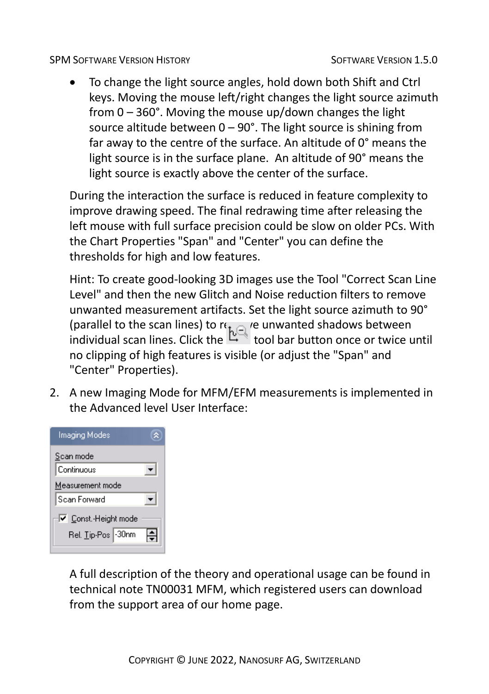• To change the light source angles, hold down both Shift and Ctrl keys. Moving the mouse left/right changes the light source azimuth from 0 – 360°. Moving the mouse up/down changes the light source altitude between  $0 - 90^\circ$ . The light source is shining from far away to the centre of the surface. An altitude of 0° means the light source is in the surface plane. An altitude of 90° means the light source is exactly above the center of the surface.

During the interaction the surface is reduced in feature complexity to improve drawing speed. The final redrawing time after releasing the left mouse with full surface precision could be slow on older PCs. With the Chart Properties "Span" and "Center" you can define the thresholds for high and low features.

Hint: To create good-looking 3D images use the Tool "Correct Scan Line Level" and then the new Glitch and Noise reduction filters to remove unwanted measurement artifacts. Set the light source azimuth to 90° (parallel to the scan lines) to  $\mathfrak{r}_{\mathbf{t}} \cap \mathfrak{e}$  unwanted shadows between individual scan lines. Click the tool bar button once or twice until no clipping of high features is visible (or adjust the "Span" and "Center" Properties).

2. A new Imaging Mode for MFM/EFM measurements is implemented in the Advanced level User Interface:

| Imaging Modes        |  |
|----------------------|--|
| Scan mode            |  |
| Continuous           |  |
| Measurement mode     |  |
| Scan Forward         |  |
| V Const.-Height mode |  |
| Rel. Tip-Pos 30nm    |  |

A full description of the theory and operational usage can be found in technical note TN00031 MFM, which registered users can download from the support area of our home page.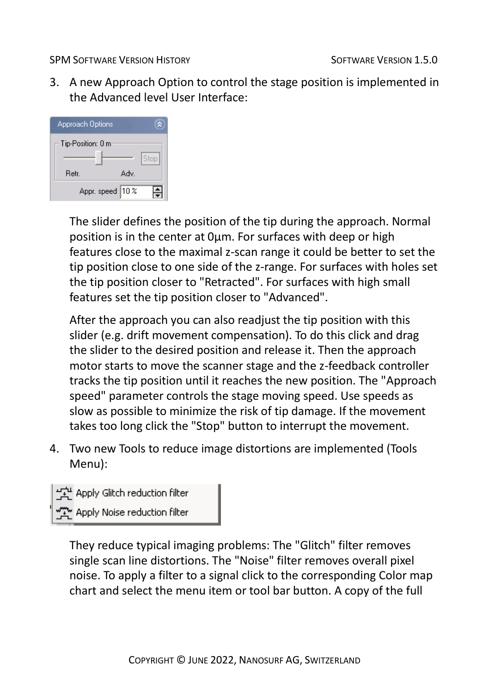3. A new Approach Option to control the stage position is implemented in the Advanced level User Interface:



The slider defines the position of the tip during the approach. Normal position is in the center at 0µm. For surfaces with deep or high features close to the maximal z-scan range it could be better to set the tip position close to one side of the z-range. For surfaces with holes set the tip position closer to "Retracted". For surfaces with high small features set the tip position closer to "Advanced".

After the approach you can also readjust the tip position with this slider (e.g. drift movement compensation). To do this click and drag the slider to the desired position and release it. Then the approach motor starts to move the scanner stage and the z-feedback controller tracks the tip position until it reaches the new position. The "Approach speed" parameter controls the stage moving speed. Use speeds as slow as possible to minimize the risk of tip damage. If the movement takes too long click the "Stop" button to interrupt the movement.

4. Two new Tools to reduce image distortions are implemented (Tools Menu):



They reduce typical imaging problems: The "Glitch" filter removes single scan line distortions. The "Noise" filter removes overall pixel noise. To apply a filter to a signal click to the corresponding Color map chart and select the menu item or tool bar button. A copy of the full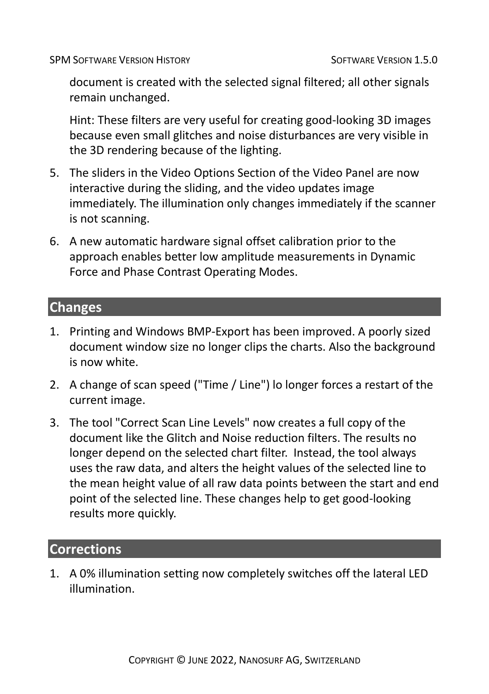document is created with the selected signal filtered; all other signals remain unchanged.

Hint: These filters are very useful for creating good-looking 3D images because even small glitches and noise disturbances are very visible in the 3D rendering because of the lighting.

- 5. The sliders in the Video Options Section of the Video Panel are now interactive during the sliding, and the video updates image immediately. The illumination only changes immediately if the scanner is not scanning.
- 6. A new automatic hardware signal offset calibration prior to the approach enables better low amplitude measurements in Dynamic Force and Phase Contrast Operating Modes.

#### **Changes**

- 1. Printing and Windows BMP-Export has been improved. A poorly sized document window size no longer clips the charts. Also the background is now white.
- 2. A change of scan speed ("Time / Line") lo longer forces a restart of the current image.
- 3. The tool "Correct Scan Line Levels" now creates a full copy of the document like the Glitch and Noise reduction filters. The results no longer depend on the selected chart filter. Instead, the tool always uses the raw data, and alters the height values of the selected line to the mean height value of all raw data points between the start and end point of the selected line. These changes help to get good-looking results more quickly.

#### **Corrections**

1. A 0% illumination setting now completely switches off the lateral LED illumination.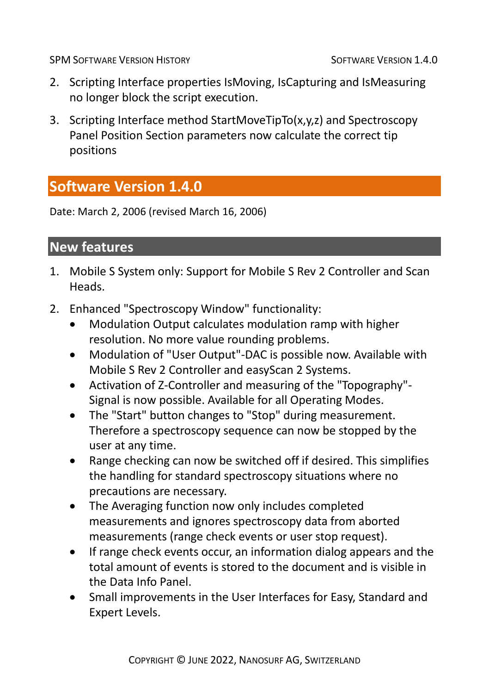- 2. Scripting Interface properties IsMoving, IsCapturing and IsMeasuring no longer block the script execution.
- 3. Scripting Interface method StartMoveTipTo(x,y,z) and Spectroscopy Panel Position Section parameters now calculate the correct tip positions

# **Software Version 1.4.0**

Date: March 2, 2006 (revised March 16, 2006)

# **New features**

- 1. Mobile S System only: Support for Mobile S Rev 2 Controller and Scan Heads.
- 2. Enhanced "Spectroscopy Window" functionality:
	- Modulation Output calculates modulation ramp with higher resolution. No more value rounding problems.
	- Modulation of "User Output"-DAC is possible now. Available with Mobile S Rev 2 Controller and easyScan 2 Systems.
	- Activation of Z-Controller and measuring of the "Topography"- Signal is now possible. Available for all Operating Modes.
	- The "Start" button changes to "Stop" during measurement. Therefore a spectroscopy sequence can now be stopped by the user at any time.
	- Range checking can now be switched off if desired. This simplifies the handling for standard spectroscopy situations where no precautions are necessary.
	- The Averaging function now only includes completed measurements and ignores spectroscopy data from aborted measurements (range check events or user stop request).
	- If range check events occur, an information dialog appears and the total amount of events is stored to the document and is visible in the Data Info Panel.
	- Small improvements in the User Interfaces for Easy, Standard and Expert Levels.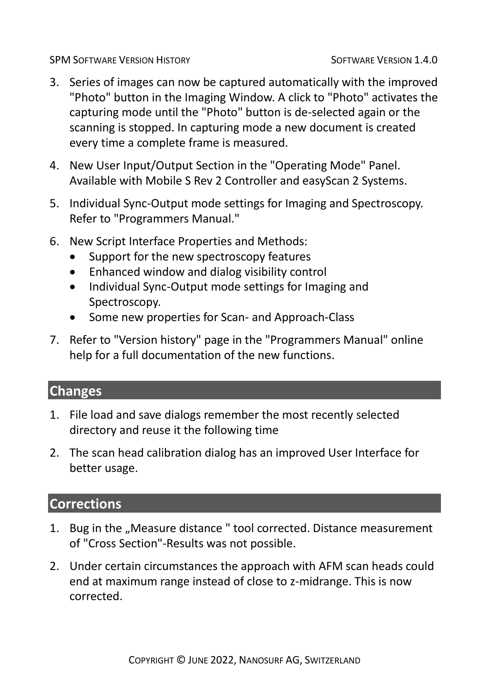- 3. Series of images can now be captured automatically with the improved "Photo" button in the Imaging Window. A click to "Photo" activates the capturing mode until the "Photo" button is de-selected again or the scanning is stopped. In capturing mode a new document is created every time a complete frame is measured.
- 4. New User Input/Output Section in the "Operating Mode" Panel. Available with Mobile S Rev 2 Controller and easyScan 2 Systems.
- 5. Individual Sync-Output mode settings for Imaging and Spectroscopy. Refer to "Programmers Manual."
- 6. New Script Interface Properties and Methods:
	- Support for the new spectroscopy features
	- Enhanced window and dialog visibility control
	- Individual Sync-Output mode settings for Imaging and Spectroscopy.
	- Some new properties for Scan- and Approach-Class
- 7. Refer to "Version history" page in the "Programmers Manual" online help for a full documentation of the new functions.

# **Changes**

- 1. File load and save dialogs remember the most recently selected directory and reuse it the following time
- 2. The scan head calibration dialog has an improved User Interface for better usage.

- 1. Bug in the "Measure distance" tool corrected. Distance measurement of "Cross Section"-Results was not possible.
- 2. Under certain circumstances the approach with AFM scan heads could end at maximum range instead of close to z-midrange. This is now corrected.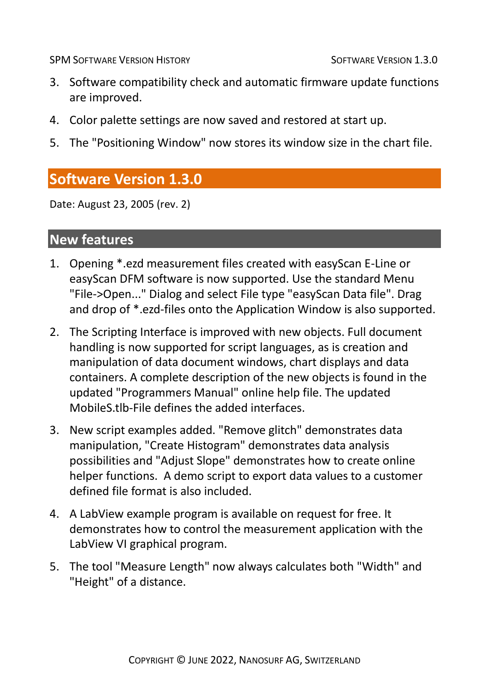- 3. Software compatibility check and automatic firmware update functions are improved.
- 4. Color palette settings are now saved and restored at start up.
- 5. The "Positioning Window" now stores its window size in the chart file.

# **Software Version 1.3.0**

Date: August 23, 2005 (rev. 2)

#### **New features**

- 1. Opening \*.ezd measurement files created with easyScan E-Line or easyScan DFM software is now supported. Use the standard Menu "File->Open..." Dialog and select File type "easyScan Data file". Drag and drop of \*.ezd-files onto the Application Window is also supported.
- 2. The Scripting Interface is improved with new objects. Full document handling is now supported for script languages, as is creation and manipulation of data document windows, chart displays and data containers. A complete description of the new objects is found in the updated "Programmers Manual" online help file. The updated MobileS.tlb-File defines the added interfaces.
- 3. New script examples added. "Remove glitch" demonstrates data manipulation, "Create Histogram" demonstrates data analysis possibilities and "Adjust Slope" demonstrates how to create online helper functions. A demo script to export data values to a customer defined file format is also included.
- 4. A LabView example program is available on request for free. It demonstrates how to control the measurement application with the LabView VI graphical program.
- 5. The tool "Measure Length" now always calculates both "Width" and "Height" of a distance.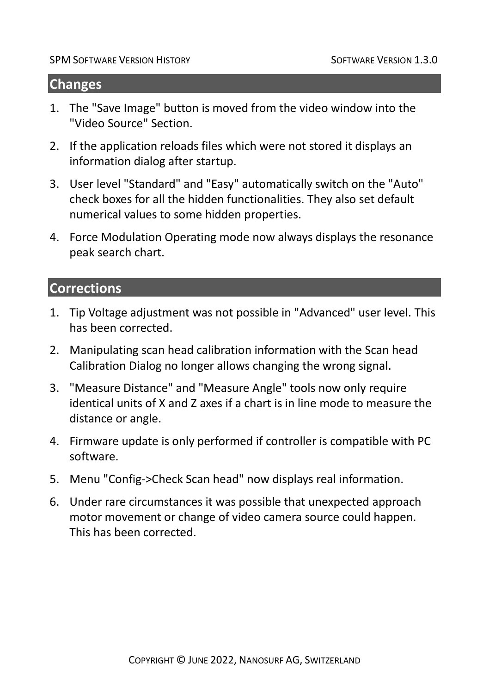#### **Changes**

- 1. The "Save Image" button is moved from the video window into the "Video Source" Section.
- 2. If the application reloads files which were not stored it displays an information dialog after startup.
- 3. User level "Standard" and "Easy" automatically switch on the "Auto" check boxes for all the hidden functionalities. They also set default numerical values to some hidden properties.
- 4. Force Modulation Operating mode now always displays the resonance peak search chart.

- 1. Tip Voltage adjustment was not possible in "Advanced" user level. This has been corrected.
- 2. Manipulating scan head calibration information with the Scan head Calibration Dialog no longer allows changing the wrong signal.
- 3. "Measure Distance" and "Measure Angle" tools now only require identical units of X and Z axes if a chart is in line mode to measure the distance or angle.
- 4. Firmware update is only performed if controller is compatible with PC software.
- 5. Menu "Config->Check Scan head" now displays real information.
- 6. Under rare circumstances it was possible that unexpected approach motor movement or change of video camera source could happen. This has been corrected.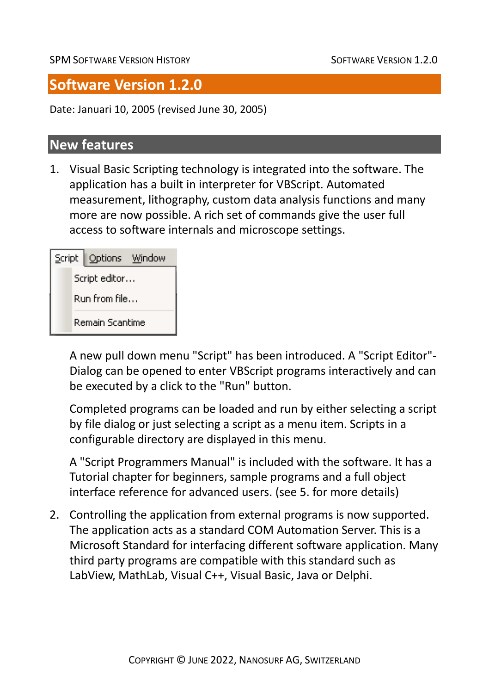# **Software Version 1.2.0**

Date: Januari 10, 2005 (revised June 30, 2005)

#### **New features**

1. Visual Basic Scripting technology is integrated into the software. The application has a built in interpreter for VBScript. Automated measurement, lithography, custom data analysis functions and many more are now possible. A rich set of commands give the user full access to software internals and microscope settings.

|               | Script   Options Window |  |
|---------------|-------------------------|--|
|               | Script editor           |  |
| Run from file |                         |  |
|               | Remain Scantime         |  |

A new pull down menu "Script" has been introduced. A "Script Editor"- Dialog can be opened to enter VBScript programs interactively and can be executed by a click to the "Run" button.

Completed programs can be loaded and run by either selecting a script by file dialog or just selecting a script as a menu item. Scripts in a configurable directory are displayed in this menu.

A "Script Programmers Manual" is included with the software. It has a Tutorial chapter for beginners, sample programs and a full object interface reference for advanced users. (see 5. for more details)

2. Controlling the application from external programs is now supported. The application acts as a standard COM Automation Server. This is a Microsoft Standard for interfacing different software application. Many third party programs are compatible with this standard such as LabView, MathLab, Visual C++, Visual Basic, Java or Delphi.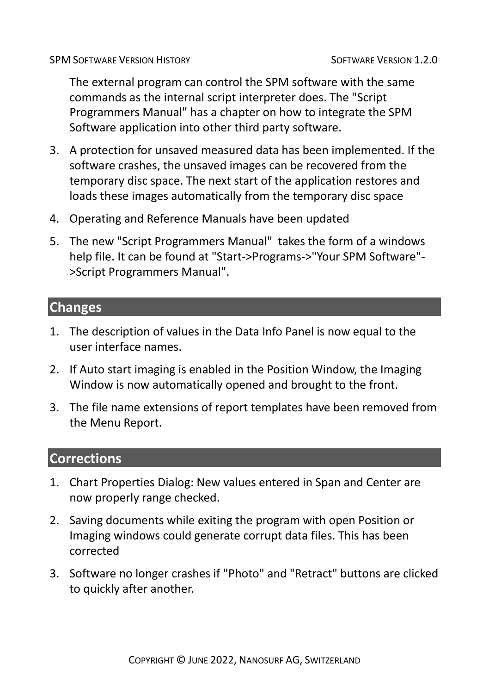The external program can control the SPM software with the same commands as the internal script interpreter does. The "Script Programmers Manual" has a chapter on how to integrate the SPM Software application into other third party software.

- 3. A protection for unsaved measured data has been implemented. If the software crashes, the unsaved images can be recovered from the temporary disc space. The next start of the application restores and loads these images automatically from the temporary disc space
- 4. Operating and Reference Manuals have been updated
- 5. The new "Script Programmers Manual" takes the form of a windows help file. It can be found at "Start->Programs->"Your SPM Software"- >Script Programmers Manual".

#### **Changes**

- 1. The description of values in the Data Info Panel is now equal to the user interface names.
- 2. If Auto start imaging is enabled in the Position Window, the Imaging Window is now automatically opened and brought to the front.
- 3. The file name extensions of report templates have been removed from the Menu Report.

- 1. Chart Properties Dialog: New values entered in Span and Center are now properly range checked.
- 2. Saving documents while exiting the program with open Position or Imaging windows could generate corrupt data files. This has been corrected
- 3. Software no longer crashes if "Photo" and "Retract" buttons are clicked to quickly after another.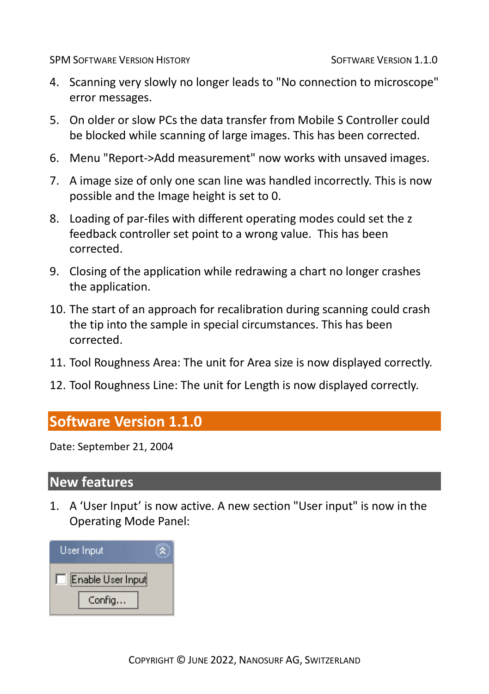- 4. Scanning very slowly no longer leads to "No connection to microscope" error messages.
- 5. On older or slow PCs the data transfer from Mobile S Controller could be blocked while scanning of large images. This has been corrected.
- 6. Menu "Report->Add measurement" now works with unsaved images.
- 7. A image size of only one scan line was handled incorrectly. This is now possible and the Image height is set to 0.
- 8. Loading of par-files with different operating modes could set the z feedback controller set point to a wrong value. This has been corrected.
- 9. Closing of the application while redrawing a chart no longer crashes the application.
- 10. The start of an approach for recalibration during scanning could crash the tip into the sample in special circumstances. This has been corrected.
- 11. Tool Roughness Area: The unit for Area size is now displayed correctly.
- 12. Tool Roughness Line: The unit for Length is now displayed correctly.

# **Software Version 1.1.0**

Date: September 21, 2004

#### **New features**

1. A 'User Input' is now active. A new section "User input" is now in the Operating Mode Panel:

| User Input        |  |
|-------------------|--|
| Enable User Input |  |
| Config            |  |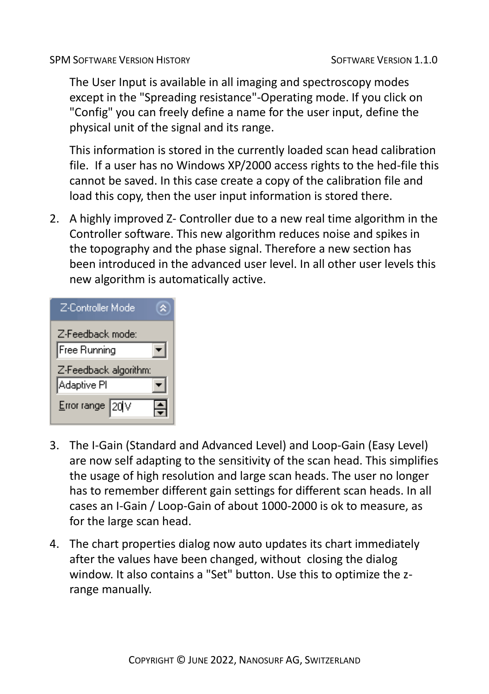The User Input is available in all imaging and spectroscopy modes except in the "Spreading resistance"-Operating mode. If you click on "Config" you can freely define a name for the user input, define the physical unit of the signal and its range.

This information is stored in the currently loaded scan head calibration file. If a user has no Windows XP/2000 access rights to the hed-file this cannot be saved. In this case create a copy of the calibration file and load this copy, then the user input information is stored there.

2. A highly improved Z- Controller due to a new real time algorithm in the Controller software. This new algorithm reduces noise and spikes in the topography and the phase signal. Therefore a new section has been introduced in the advanced user level. In all other user levels this new algorithm is automatically active.

| Z-Controller Mode               |  |
|---------------------------------|--|
| Z-Feedback mode:                |  |
| Free Running                    |  |
| Z-Feedback algorithm:           |  |
| Adaptive Pl                     |  |
| Error range $\sqrt{20}\sqrt{v}$ |  |

- 3. The I-Gain (Standard and Advanced Level) and Loop-Gain (Easy Level) are now self adapting to the sensitivity of the scan head. This simplifies the usage of high resolution and large scan heads. The user no longer has to remember different gain settings for different scan heads. In all cases an I-Gain / Loop-Gain of about 1000-2000 is ok to measure, as for the large scan head.
- 4. The chart properties dialog now auto updates its chart immediately after the values have been changed, without closing the dialog window. It also contains a "Set" button. Use this to optimize the zrange manually.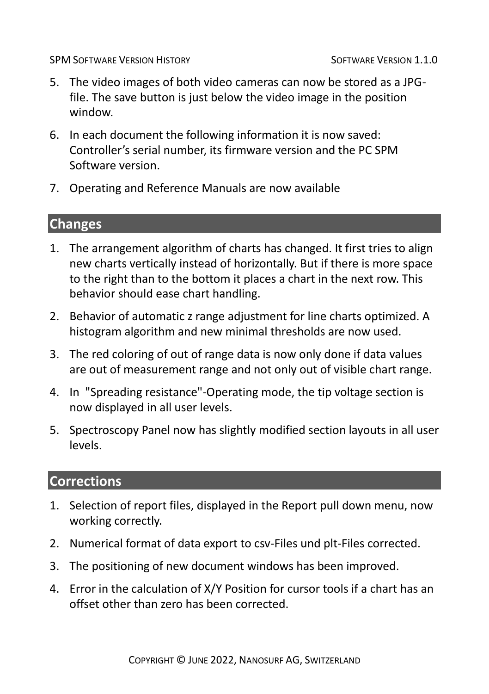- 5. The video images of both video cameras can now be stored as a JPGfile. The save button is just below the video image in the position window.
- 6. In each document the following information it is now saved: Controller's serial number, its firmware version and the PC SPM Software version.
- 7. Operating and Reference Manuals are now available

### **Changes**

- 1. The arrangement algorithm of charts has changed. It first tries to align new charts vertically instead of horizontally. But if there is more space to the right than to the bottom it places a chart in the next row. This behavior should ease chart handling.
- 2. Behavior of automatic z range adjustment for line charts optimized. A histogram algorithm and new minimal thresholds are now used.
- 3. The red coloring of out of range data is now only done if data values are out of measurement range and not only out of visible chart range.
- 4. In "Spreading resistance"-Operating mode, the tip voltage section is now displayed in all user levels.
- 5. Spectroscopy Panel now has slightly modified section layouts in all user levels.

- 1. Selection of report files, displayed in the Report pull down menu, now working correctly.
- 2. Numerical format of data export to csv-Files und plt-Files corrected.
- 3. The positioning of new document windows has been improved.
- 4. Error in the calculation of X/Y Position for cursor tools if a chart has an offset other than zero has been corrected.